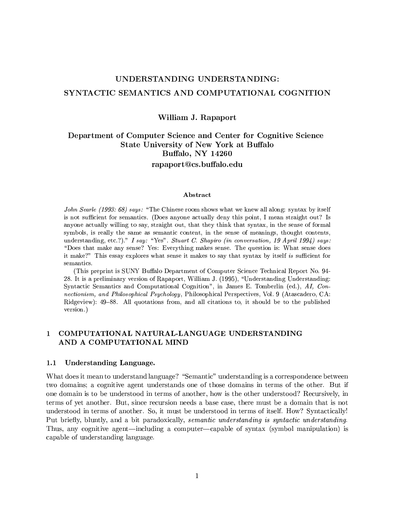# UNDERSTANDING UNDERSTANDING:

# SYNTACTIC SEMANTICS AND COMPUTATIONAL COGNITION

# William J. Rapaport

# Department of Computer Science and Center for Cognitive Science **State University of New York at Buffalo** Buffalo, NY 14260

rapaport@cs.buffalo.edu

### Abstract

John Searle (1993: 68) says: "The Chinese room shows what we knew all along: syntax by itself is not sufficient for semantics. (Does anyone actually deny this point, I mean straight out? Is anyone actually willing to say, straight out, that they think that syntax, in the sense of formal symbols, is really the same as semantic content, in the sense of meanings, thought contents, understanding, etc.?)." I say: "Yes". Stuart C. Shapiro (in conversation, 19 April 1994) says: "Does that make any sense? Yes: Everything makes sense. The question is: What sense does it make?" This essay explores what sense it makes to say that syntax by itself is sufficient for semantics.

(This preprint is SUNY Buffalo Department of Computer Science Technical Report No. 94-28. It is a preliminary version of Rapaport, William J. (1995), "Understanding Understanding: Syntactic Semantics and Computational Cognition", in James E. Tomberlin (ed.), AI, Connectionism, and Philosophical Psychology, Philosophical Perspectives, Vol. 9 (Atascadero, CA: Ridgeview): 49–88. All quotations from, and all citations to, it should be to the published version.)

### COMPUTATIONAL NATURAL-LANGUAGE UNDERSTANDING  $\mathbf{1}$ AND A COMPUTATIONAL MIND

#### $1.1$ Understanding Language.

What does it mean to understand language? "Semantic" understanding is a correspondence between two domains; a cognitive agent understands one of those domains in terms of the other. But if one domain is to be understood in terms of another, how is the other understood? Recursively, in terms of yet another. But, since recursion needs a base case, there must be a domain that is not understood in terms of another. So, it must be understood in terms of itself. How? Syntactically! Put briefly, bluntly, and a bit paradoxically, semantic understanding is syntactic understanding. Thus, any cognitive agent—including a computer—capable of syntax (symbol manipulation) is capable of understanding language.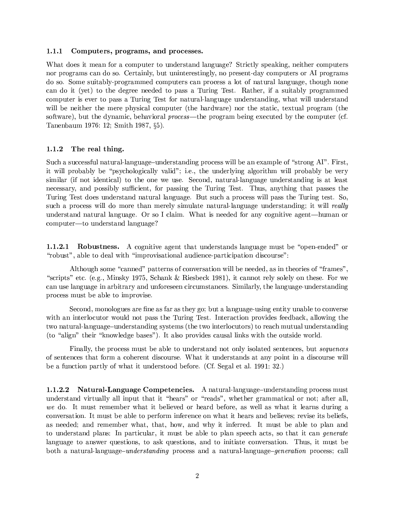#### 1.1.1 Computers, programs, and processes.

What does it mean for a computer to understand language? Strictly speaking, neither computers nor programs can do so. Certainly, but uninterestingly, no present-day computers or AI programs do so. Some suitably-programmed computers can process a lot of natural language, though none can do it (yet) to the degree needed to pass a Turing Test. Rather, if a suitably programmed computer is ever to pass a Turing Test for natural-language understanding, what will understand will be neither the mere physical computer (the hardware) nor the static, textual program (the software), but the dynamic, behavioral *process*—the program being executed by the computer (cf. Tanenbaum 1976: 12; Smith 1987, §5).

#### 1.1.2 The real thing.

Such a successful natural-language-understanding process will be an example of "strong AI". First, it will probably be "psychologically valid"; i.e., the underlying algorithm will probably be very similar (if not identical) to the one we use. Second, natural-language understanding is at least necessary, and possibly sufficient, for passing the Turing Test. Thus, anything that passes the Turing Test does understand natural language. But such a process will pass the Turing test. So, such a process will do more than merely simulate natural-language understanding; it will really understand natural language. Or so I claim. What is needed for any cognitive agent—human or computer-to understand language?

 $1.1.2.1$ **Robustness.** A cognitive agent that understands language must be "open-ended" or "robust", able to deal with "improvisational audience-participation discourse":

Although some "canned" patterns of conversation will be needed, as in theories of "frames", "scripts" etc. (e.g., Minsky 1975, Schank & Riesbeck 1981), it cannot rely solely on these. For we can use language in arbitrary and unforeseen circumstances. Similarly, the language-understanding process must be able to improvise.

Second, monologues are fine as far as they go; but a language-using entity unable to converse with an interlocutor would not pass the Turing Test. Interaction provides feedback, allowing the two natural-language-understanding systems (the two interlocutors) to reach mutual understanding (to "align" their "knowledge bases"). It also provides causal links with the outside world.

Finally, the process must be able to understand not only isolated sentences, but *sequences* of sentences that form a coherent discourse. What it understands at any point in a discourse will be a function partly of what it understood before. (Cf. Segal et al. 1991: 32.)

Natural-Language Competencies. A natural-language-understanding process must  $1.1.2.2$ understand virtually all input that it "hears" or "reads", whether grammatical or not; after all, we do. It must remember what it believed or heard before, as well as what it learns during a conversation. It must be able to perform inference on what it hears and believes; revise its beliefs, as needed; and remember what, that, how, and why it inferred. It must be able to plan and to understand plans: In particular, it must be able to plan speech acts, so that it can *generate* language to answer questions, to ask questions, and to initiate conversation. Thus, it must be both a natural-language-understanding process and a natural-language-generation process; call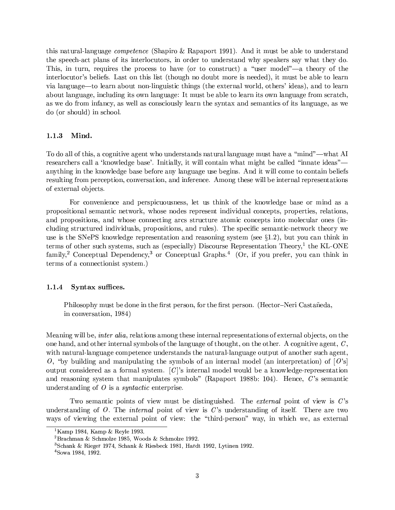this natural-language *competence* (Shapiro & Rapaport 1991). And it must be able to understand the speech-act plans of its interlocutors, in order to understand why speakers say what they do. This, in turn, requires the process to have (or to construct) a "user model"—a theory of the interlocutor's beliefs. Last on this list (though no doubt more is needed), it must be able to learn via language—to learn about non-linguistic things (the external world, others' ideas), and to learn about language, including its own language: It must be able to learn its own language from scratch, as we do from infancy, as well as consciously learn the syntax and semantics of its language, as we do (or should) in school.

#### Mind. 1.1.3

To do all of this, a cognitive agent who understands natural language must have a "mind"—what AI researchers call a 'knowledge base'. Initially, it will contain what might be called "innate ideas" anything in the knowledge base before any language use begins. And it will come to contain beliefs resulting from perception, conversation, and inference. Among these will be internal representations of external objects.

For convenience and perspicuousness, let us think of the knowledge base or mind as a propositional semantic network, whose nodes represent individual concepts, properties, relations, and propositions, and whose connecting arcs structure atomic concepts into molecular ones (including structured individuals, propositions, and rules). The specific semantic-network theory we use is the SNePS knowledge representation and reasoning system (see  $\S1.2$ ), but you can think in terms of other such systems, such as (especially) Discourse Representation Theory,<sup>1</sup> the KL-ONE family,<sup>2</sup> Conceptual Dependency,<sup>3</sup> or Conceptual Graphs.<sup>4</sup> (Or, if you prefer, you can think in terms of a connectionist system.)

#### 1.1.4 Syntax suffices.

Philosophy must be done in the first person, for the first person. (Hector-Neri Castañeda, in conversation, 1984)

Meaning will be, *inter alia*, relations among these internal representations of external objects, on the one hand, and other internal symbols of the language of thought, on the other. A cognitive agent,  $C$ , with natural-language competence understands the natural-language output of another such agent, O, "by building and manipulating the symbols of an internal model (an interpretation) of  $[O\text{'s}]$ output considered as a formal system.  $[C]$ 's internal model would be a knowledge-representation and reasoning system that manipulates symbols" (Rapaport 1988b: 104). Hence,  $C$ 's semantic understanding of  $O$  is a *syntactic* enterprise.

Two semantic points of view must be distinguished. The *external* point of view is  $C$ 's understanding of O. The *internal* point of view is  $C$ 's understanding of itself. There are two ways of viewing the external point of view: the "third-person" way, in which we, as external

<sup>&</sup>lt;sup>1</sup>Kamp 1984, Kamp & Reyle 1993.

<sup>&</sup>lt;sup>2</sup> Brachman & Schmolze 1985, Woods & Schmolze 1992.

<sup>&</sup>lt;sup>3</sup>Schank & Rieger 1974, Schank & Riesbeck 1981, Hardt 1992, Lytinen 1992.

<sup>&</sup>lt;sup>4</sup>Sowa 1984, 1992.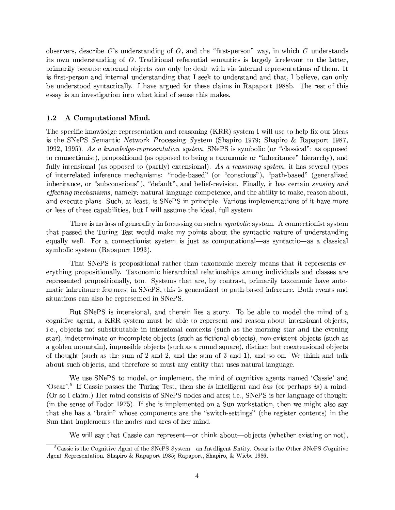observers, describe  $C$ 's understanding of  $O$ , and the "first-person" way, in which  $C$  understands its own understanding of  $O$ . Traditional referential semantics is largely irrelevant to the latter, primarily because external objects can only be dealt with via internal representations of them. It is first-person and internal understanding that I seek to understand and that, I believe, can only be understood syntactically. I have argued for these claims in Rapaport 1988b. The rest of this essay is an investigation into what kind of sense this makes.

#### $1.2$ A Computational Mind.

The specific knowledge-representation and reasoning (KRR) system I will use to help fix our ideas is the SNePS Semantic Network Processing System (Shapiro 1979; Shapiro & Rapaport 1987, 1992, 1995). As a knowledge-representation system, SNePS is symbolic (or "classical"; as opposed to connection ist), propositional (as opposed to being a taxonomic or "inheritance" hierarchy), and fully intensional (as opposed to (partly) extensional). As a reasoning system, it has several types of interrelated inference mechanisms: "node-based" (or "conscious"), "path-based" (generalized inheritance, or "subconscious"), "default", and belief-revision. Finally, it has certain sensing and *effecting mechanisms*, namely: natural-language competence, and the ability to make, reason about, and execute plans. Such, at least, is SNePS in principle. Various implementations of it have more or less of these capabilities, but I will assume the ideal, full system.

There is no loss of generality in focussing on such a *symbolic* system. A connection ist system that passed the Turing Test would make my points about the syntactic nature of understanding equally well. For a connection is system is just as computational—as syntactic—as a classical symbolic system (Rapaport 1993).

That SNePS is propositional rather than taxonomic merely means that it represents everything propositionally. Taxonomic hierarchical relationships among individuals and classes are represented propositionally, too. Systems that are, by contrast, primarily taxomonic have automatic inheritance features; in SNePS, this is generalized to path-based inference. Both events and situations can also be represented in SNePS.

But SNePS is intensional, and therein lies a story. To be able to model the mind of a cognitive agent, a KRR system must be able to represent and reason about intensional objects, i.e., objects not substitutable in intensional contexts (such as the morning star and the evening star), indeterminate or incomplete objects (such as fictional objects), non-existent objects (such as a golden mountain), impossible objects (such as a round square), distinct but coextensional objects of thought (such as the sum of 2 and 2, and the sum of 3 and 1), and so on. We think and talk about such objects, and therefore so must any entity that uses natural language.

We use SNePS to model, or implement, the mind of cognitive agents named 'Cassie' and 'Oscar'.<sup>5</sup> If Cassie passes the Turing Test, then she is intelligent and has (or perhaps is) a mind. (Or so I claim.) Her mind consists of SNePS nodes and arcs; i.e., SNePS is her language of thought (in the sense of Fodor 1975). If she is implemented on a Sun workstation, then we might also say that she has a "brain" whose components are the "switch-settings" (the register contents) in the Sun that implements the nodes and arcs of her mind.

We will say that Cassie can represent—or think about—objects (whether existing or not),

 ${}^5C$ assie is the Cognitive Agent of the SNePS System—an Intelligent Entity. Oscar is the Other SNePS Cognitive Agent Representation. Shapiro & Rapaport 1985; Rapaport, Shapiro, & Wiebe 1986.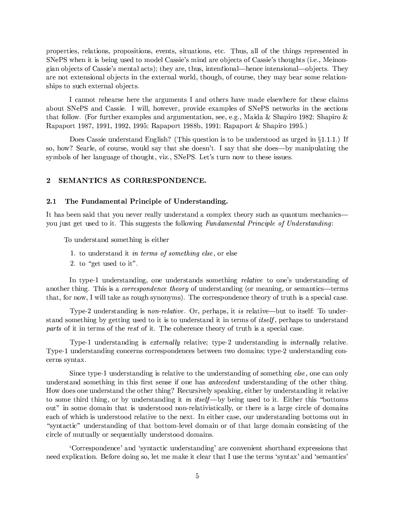properties, relations, propositions, events, situations, etc. Thus, all of the things represented in SNePS when it is being used to model Cassie's mind are objects of Cassie's thoughts (i.e., Meinongian objects of Cassie's mental acts); they are, thus, intentional—hence intensional—objects. They are not extensional objects in the external world, though, of course, they may bear some relationships to such external objects.

I cannot rehearse here the arguments I and others have made elsewhere for these claims about SNePS and Cassie. I will, however, provide examples of SNePS networks in the sections that follow. (For further examples and argumentation, see, e.g., Maida & Shapiro 1982; Shapiro & Rapaport 1987, 1991, 1992, 1995; Rapaport 1988b, 1991; Rapaport & Shapiro 1995.)

Does Cassie understand English? (This question is to be understood as urged in  $\S 1.1.1$ .) If so, how? Searle, of course, would say that she doesn't. I say that she does—by manipulating the symbols of her language of thought, viz., SNePS. Let's turn now to these issues.

#### $\bf{2}$ SEMANTICS AS CORRESPONDENCE.

#### The Fundamental Principle of Understanding.  $2.1$

It has been said that you never really understand a complex theory such as quantum mechanics you just get used to it. This suggests the following Fundamental Principle of Understanding:

To understand something is either

- 1. to understand it in terms of something else, or else
- 2. to "get used to it".

In type-1 understanding, one understands something *relative* to one's understanding of another thing. This is a *correspondence theory* of understanding (or meaning, or semantics—terms that, for now, I will take as rough synonyms). The correspondence theory of truth is a special case.

Type-2 understanding is non-relative. Or, perhaps, it is relative—but to itself: To understand something by getting used to it is to understand it in terms of *itself*, perhaps to understand parts of it in terms of the rest of it. The coherence theory of truth is a special case.

Type-1 understanding is *externally* relative; type-2 understanding is *internally* relative. Type-1 understanding concerns correspondences between two domains; type-2 understanding concerns syntax.

Since type-1 understanding is relative to the understanding of something *else*, one can only understand something in this first sense if one has *antecedent* understanding of the other thing. How does one understand the other thing? Recursively speaking, either by understanding it relative to some third thing, or by understanding it in itself—by being used to it. Either this "bottoms" out" in some domain that is understood non-relativistically, or there is a large circle of domains each of which is understood relative to the next. In either case, our understanding bottoms out in "syntactic" understanding of that bottom-level domain or of that large domain consisting of the circle of mutually or sequentially understood domains.

Correspondence' and 'syntactic understanding' are convenient shorthand expressions that need explication. Before doing so, let me make it clear that I use the terms 'syntax' and 'semantics'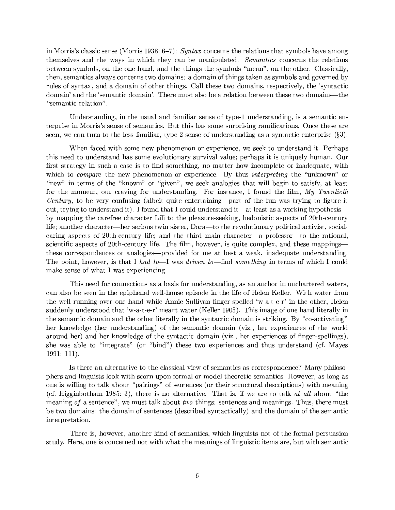in Morris's classic sense (Morris 1938:  $6-7$ ): Syntax concerns the relations that symbols have among themselves and the ways in which they can be manipulated. Semantics concerns the relations between symbols, on the one hand, and the things the symbols "mean", on the other. Classically, then, semantics always concerns two domains: a domain of things taken as symbols and governed by rules of syntax, and a domain of other things. Call these two domains, respectively, the 'syntactic domain' and the 'semantic domain'. There must also be a relation between these two domains—the "semantic relation".

Understanding, in the usual and familiar sense of type-1 understanding, is a semantic enterprise in Morris's sense of semantics. But this has some surprising ramifications. Once these are seen, we can turn to the less familiar, type-2 sense of understanding as a syntactic enterprise  $(\S 3)$ .

When faced with some new phenomenon or experience, we seek to understand it. Perhaps this need to understand has some evolutionary survival value; perhaps it is uniquely human. Our first strategy in such a case is to find something, no matter how incomplete or inadequate, with which to *compare* the new phenomenon or experience. By thus *interpreting* the "unknown" or "new" in terms of the "known" or "given", we seek analogies that will begin to satisfy, at least for the moment, our craving for understanding. For instance, I found the film,  $My$  Twentieth *Century*, to be very confusing (albeit quite entertaining—part of the fun was trying to figure it out, trying to understand it). I found that I could understand it—at least as a working hypothesis by mapping the carefree character Lili to the pleasure-seeking, hedonistic aspects of 20th-century life; another character—her serious twin sister, Dora—to the revolutionary political activist, socialcaring aspects of 20th-century life; and the third main character—a professor—to the rational, scientific aspects of 20th-century life. The film, however, is quite complex, and these mappings these correspondences or analogies—provided for me at best a weak, inadequate understanding. The point, however, is that I had to  $\overline{-1}$  was driven to  $\overline{-}$  find something in terms of which I could make sense of what I was experiencing.

This need for connections as a basis for understanding, as an anchor in unchartered waters, can also be seen in the epiphenal well-house episode in the life of Helen Keller. With water from the well running over one hand while Annie Sullivan finger-spelled 'w-a-t-e-r' in the other, Helen suddenly understood that 'w-a-t-e-r' meant water (Keller 1905). This image of one hand literally in the semantic domain and the other literally in the syntactic domain is striking. By "co-activating" her knowledge (her understanding) of the semantic domain (viz., her experiences of the world around her) and her knowledge of the syntactic domain (viz., her experiences of finger-spellings), she was able to "integrate" (or "bind") these two experiences and thus understand (cf. Mayes 1991: 111).

Is there an alternative to the classical view of semantics as correspondence? Many philosophers and linguists look with scorn upon formal or model-theoretic semantics. However, as long as one is willing to talk about "pairings" of sentences (or their structural descriptions) with meaning (cf. Higginbotham 1985: 3), there is no alternative. That is, if we are to talk at all about "the meaning of a sentence", we must talk about two things: sentences and meanings. Thus, there must be two domains: the domain of sentences (described syntactically) and the domain of the semantic interpretation.

There is, however, another kind of semantics, which linguists not of the formal persuasion study. Here, one is concerned not with what the meanings of linguistic items are, but with semantic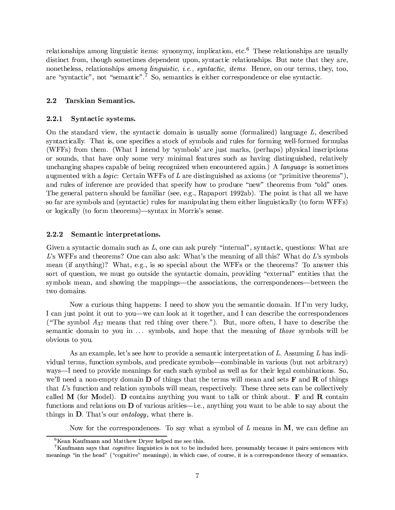KM>@NP8:9MAC<RF?6AC^4?y8GD<RF=QENPAPFQRIAP?H9MAPXlAC9H>@Dm? ¶ ?Mt%F=<RFWtoDtGq3APD^4NPAPX8:9MAC<RFBq4>9MX:h 6=>@?M>nKM>@NP8:9MAC<RF?M64AC^4?J8:KM>kI?MI8GNPNCt distinct from, though sometimes dependent upon, syntactic relationships. But note that they are, nonetheless, relationships among linguistic, i.e., syntactic, items. Hence, on our terms, they, too, are "syntactic", not "semantic".<sup>7</sup> So, semantics is either correspondence or else syntactic.

# 2.2 Tarskian Semantics.

# 2.2.1 Syntactic systems.

On the standard view, the syntactic domain is usually some (formalized) language L, described ?HtoFe9M8GX]9MAPX8GNPNCtGh 68:9xAP?q+<RF>?H^\_>@XA®Ê4>@?x8E?H9H<oXM§<Gf?HtoDk`\_<RNP?g8GF;KLINC>@?Jf¦<GKJf¦<GKDmAPF=Qwa1>@NPN®©f¦<GKDE>@;f¦<GKDvINP8G? (WFFs) from them. (What I intend by 'symbols' are just marks, (perhaps) physical inscriptions <GK?H<RIF4;?qg9M68:9648@dG><RFNCt?H<RD> dG>KMtDmAPFAPDE8GNJf>@8:9MIKM>@??MIXL678G?68@doAPF=Q¬;AP?H9MAPFQRIAP?M6=>@;uqxKM>@NP8:9MACdG>@NCt unchanging shapes capable of being recognized when encountered again.) A *language* is sometimes  $\blacksquare$ and rules of inference are provided that specify how to produce "new" theorems from "old" ones. The general pattern should be familiar (see, e.g., Rapaport 1992ab). The point is that all we have so far are symbols and (syntactic) rules for manipulating them either linguistically (to form WFFs) or logically (to form theorems)—syntax in Morris's sense.

## 2.2.2 Semantic interpretations.

åACdG>@F8v?HtoFW9M8GX]9MAPXn;=<RDE8GAPF
?MI4X6
8G?,pqo<RF=>OX8GF8G?H§m^4I=KM>@NCt0THAPFe9H>KF48GNPYoq4?HtoFe9M8GX]9MAPX:q3ÒWI=>@?M9MAC<RF? ¶ 5768:9g8:KM> pÔÕ?57ÀpÀp?\8GF;
9M6=><GKM>@Dm?LSÄF>yX8GF8GNP?H<8G?M§ ¶ 5768:9ÔÕ?9M6=>OD>@8GF4APF=Q<Gf#8GNPN\_9M6AP?LS5648:9;<-ÔÕ??Ht%Dk`\_<RNP?  $\mathcal{L}$  and the state of the state of the state  $\mathcal{L}$  and  $\mathcal{L}$  and  $\mathcal{L}$  and  $\mathcal{L}$  and  $\mathcal{L}$ sort of question, we must go outside the syntactic domain, providing "external" entities that the symbols mean, and showing the mappings—the associations, the correspondences—between the two domains.

 $\bullet$  . The state of the state of the state of the state of the state of the state of the state of the state of the state of the state of the state of the state of the state of the state of the state of the state of the st I can just point it out to you—we can look at it together, and I can describe the correspondences ("The symbol  $A_{37}$  means that red thing over there."). But, more often, I have to describe the semantic domain to you in  $\ldots$  symbols, and hope that the meaning of *those* symbols will be obvious to you.

As an example, let's see how to provide a semantic interpretation of L. Assuming L has individual terms, function symbols, and predicate symbols—combinable in various (but not arbitrary) ways—I need to provide meanings for each such symbol as well as for their legal combinations. So, and the set of the set of the set of the set of the set of the set of the set of the set of the set of the set of the set of the set of the set of the set of the set of the set of the set of the set of the set of the set . The second content of the second content of the second content of the second content of the second content of the second content of the second content of the second content of the second content of the second content of X8GNPNC>@; <sup>û</sup> ¦f<GK <sup>û</sup><%;=>@NLh X]<RFW9M8GAPF?k8GFet%9M6APF=QtG<RIa8GFe99H<9M8GNC§<GK9M6APF=§j8:`3<RI9h } 8GF; X]<RFW9M8GAPF f.IFX]9MAC<RF?Z8GF;mKM>@NP8:9MAC<RF?Z<RF <GfBd:8:KAC<RI?Z8:KAC9MAC>@?zA.hÁ>GhPq+8GFet%9M6APF=QtG<RIma8GFW919H<v`\_>J8:`4NC>y9H<k?8@tm8:`\_<RI=919M6=> 9M6APF=QR?JAPF <sup>h</sup> 68:9ÔÕ?g<RI=K±:4±GÃC±MR4q3aJ68:9\9M6=>K>lAP?h

 $\bullet$  and the constant of the constant of the constant of the constant of the constant of the constant of the constant of the constant of the constant of the constant of the constant of the constant of the constant of the

øù
øùXaCúgùX2xù
2%ùX959 =\$ Õû67%xúo&5 o92.&

ew and the control of the control of the control of the control of the control of the control of the control of the control of the control of the control of the control of the control of the control of the control of the meanings "in the head" ("cognitive" meanings), in which case, of course, it is a correspondence theory of semantics.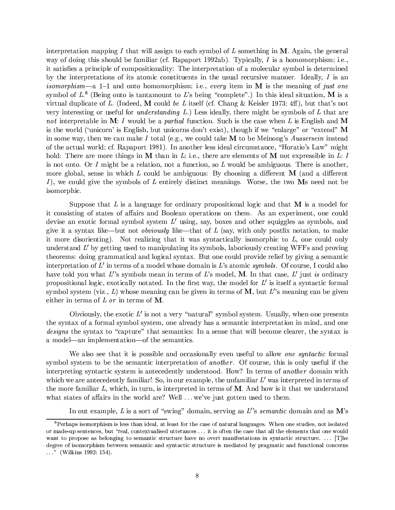interpretation mapping I that will assign to each symbol of L something in  $M$ . Again, the general way of doing this should be familiar (cf. Rapaport 1992ab). Typically, I is a homomorphism; i.e., it satisfies a principle of compositionality: The interpretation of a molecular symbol is determined by the interpretations of its atomic constituents in the usual recursive manner. Ideally,  $I$  is an *isomorphism*—a 1–1 and onto homomorphism; i.e., *every* item in M is the meaning of *just one* symbol of L.<sup>8</sup> (Being onto is tantamount to L's being "complete".) In this ideal situation, M is a virtual duplicate of L. (Indeed, M could be L itself (cf. Chang & Keisler 1973: 4ff), but that's not very interesting or useful for *understanding*  $L$ .) Less ideally, there might be symbols of  $L$  that are not interpretable in M: I would be a partial function. Such is the case when L is English and M is the world ('unicorn' is English, but unicorns don't exist), though if we "enlarge" or "extend" M in some way, then we can make I total (e.g., we could take M to be Meinong's Aussersein instead of the actual world; cf. Rapaport 1981). In another less ideal circumstance, "Horatio's Law" might hold: There are more things in M than in L; i.e., there are elements of M not expressible in L: I is not onto. Or I might be a relation, not a function, so L would be ambiguous. There is another, more global, sense in which  $L$  could be ambiguous: By choosing a different  $M$  (and a different I), we could give the symbols of L entirely distinct meanings. Worse, the two  $\mathbf{M}s$  need not be isomorphic.

Suppose that L is a language for ordinary propositional logic and that M is a model for it consisting of states of affairs and Boolean operations on them. As an experiment, one could devise an exotic formal symbol system  $L'$  using, say, boxes and other squiggles as symbols, and give it a syntax like—but not *obviously* like—that of  $L$  (say, with only postfix notation, to make it more disorienting). Not realizing that it was syntactically isomorphic to  $L$ , one could only understand L' by getting used to manipulating its symbols, laboriously creating WFFs and proving theorems: doing grammatical and logical syntax. But one could provide relief by giving a semantic interpretation of  $L'$  in terms of a model whose domain is  $L'$ s atomic symbols. Of course, I could also have told you what L''s symbols mean in terms of L's model, M. In that case, L' just is ordinary propositional logic, exotically notated. In the first way, the model for  $L'$  is itself a syntactic formal symbol system (viz., L) whose meaning can be given in terms of  $M$ , but L''s meaning can be given either in terms of  $L$  or in terms of  $M$ .

Obviously, the exotic  $L'$  is not a very "natural" symbol system. Usually, when one presents the syntax of a formal symbol system, one already has a semantic interpretation in mind, and one *designs* the syntax to "capture" that semantics: In a sense that will become clearer, the syntax is a model—an implementation—of the semantics.

We also see that it is possible and occasionally even useful to allow one syntactic formal symbol system to be the semantic interpretation of another. Of course, this is only useful if the interpreting syntactic system is antecedently understood. How? In terms of *another* domain with which we are antecedently familiar! So, in our example, the unfamiliar  $L'$  was interpreted in terms of the more familiar  $L$ , which, in turn, is interpreted in terms of  $M$ . And how is it that we understand what states of affairs in the world are? Well ... we've just gotten used to them.

In out example, L is a sort of "swing" domain, serving as  $L$ 's *semantic* domain and as M's

<sup>&</sup>lt;sup>8</sup>Perhaps isomorphism is less than ideal, at least for the case of natural languages. When one studies, not isolated or made-up sentences, but "real, contextualised utterances ... it is often the case that all the elements that one would want to propose as belonging to semantic structure have no overt manifestations in syntactic structure.... [T]he degree of isomorphism between semantic and syntactic structure is mediated by pragmatic and functional concerns  $\ldots$  " (Wilkins 1992: 154).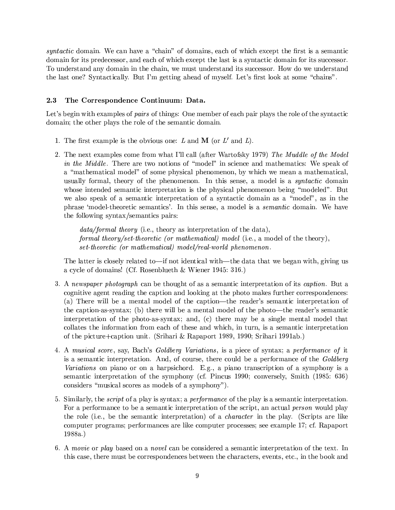*syntactic* domain. We can have a "chain" of domains, each of which except the first is a semantic domain for its predecessor, and each of which except the last is a syntactic domain for its successor. To understand any domain in the chain, we must understand its successor. How do we understand the last one? Syntactically. But I'm getting ahead of myself. Let's first look at some "chains".

#### $2.3$ The Correspondence Continuum: Data.

Let's begin with examples of pairs of things: One member of each pair plays the role of the syntactic domain; the other plays the role of the semantic domain.

- 1. The first example is the obvious one: L and M (or  $L'$  and L).
- 2. The next examples come from what I'll call (after Wartofsky 1979) The Muddle of the Model *in the Middle*. There are two notions of "model" in science and mathematics: We speak of a "mathematical model" of some physical phenomenon, by which we mean a mathematical, usually formal, theory of the phenomenon. In this sense, a model is a *syntactic* domain whose intended semantic interpretation is the physical phenomenon being "modeled". But we also speak of a semantic interpretation of a syntactic domain as a "model", as in the phrase 'model-theoretic semantics'. In this sense, a model is a *semantic* domain. We have the following syntax/semantics pairs:

*data/formal theory* (i.e., theory as interpretation of the data), formal theory/set-theoretic (or mathematical) model (i.e., a model of the theory), set-theoretic (or mathematical) model/real-world phenomenon.

The latter is closely related to-if not identical with-the data that we began with, giving us a cycle of domains! (Cf. Rosenblueth & Wiener 1945: 316.)

- 3. A newspaper photograph can be thought of as a semantic interpretation of its caption. But a cognitive agent reading the caption and looking at the photo makes further correspondences: (a) There will be a mental model of the caption—the reader's semantic interpretation of the caption-as-syntax; (b) there will be a mental model of the photo—the reader's semantic interpretation of the photo-as-syntax; and, (c) there may be a single mental model that collates the information from each of these and which, in turn, is a semantic interpretation of the picture+caption unit. (Srihari & Rapaport 1989, 1990; Srihari 1991ab.)
- 4. A musical score, say, Bach's Goldberg Variations, is a piece of syntax; a performance of it is a semantic interpretation. And, of course, there could be a performance of the Goldberg Variations on piano or on a harpsichord. E.g., a piano transcription of a symphony is a semantic interpretation of the symphony (cf. Pincus 1990; conversely, Smith (1985: 636) considers "musical scores as models of a symphony").
- 5. Similarly, the *script* of a play is syntax; a *performance* of the play is a semantic interpretation. For a performance to be a semantic interpretation of the script, an actual *person* would play the role (i.e., be the semantic interpretation) of a *character* in the play. (Scripts are like computer programs; performances are like computer processes; see example 17; cf. Rapaport  $1988a.$
- 6. A movie or play based on a novel can be considered a semantic interpretation of the text. In this case, there must be correspondences between the characters, events, etc., in the book and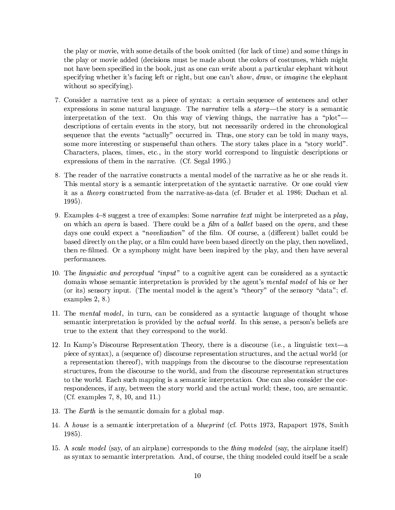the play or movie, with some details of the book omitted (for lack of time) and some things in the play or movie added (decisions must be made about the colors of costumes, which might not have been specified in the book, just as one can write about a particular elephant without specifying whether it's facing left or right, but one can't show, draw, or imagine the elephant without so specifying).

- 7. Consider a narrative text as a piece of syntax: a certain sequence of sentences and other expressions in some natural language. The *narrative* tells a *story*—the story is a semantic interpretation of the text. On this way of viewing things, the narrative has a "plot"descriptions of certain events in the story, but not necessarily ordered in the chronological sequence that the events "actually" occurred in. Thus, one story can be told in many ways, some more interesting or suspenseful than others. The story takes place in a "story world". Characters, places, times, etc., in the story world correspond to linguistic descriptions or expressions of them in the narrative. (Cf. Segal 1995.)
- 8. The reader of the narrative constructs a mental model of the narrative as he or she reads it. This mental story is a semantic interpretation of the syntactic narrative. Or one could view it as a *theory* constructed from the narrative-as-data (cf. Bruder et al. 1986; Duchan et al.  $1995$ ).
- 9. Examples 4–8 suggest a tree of examples: Some *narrative text* might be interpreted as a *play*, on which an *opera* is based. There could be a *film* of a *ballet* based on the *opera*, and these days one could expect a "*novelization*" of the film. Of course, a (different) ballet could be based directly on the play, or a film could have been based directly on the play, then novelized, then re-filmed. Or a symphony might have been inspired by the play, and then have several performances.
- 10. The *linguistic and perceptual "input"* to a cognitive agent can be considered as a syntactic domain whose semantic interpretation is provided by the agent's mental model of his or her (or its) sensory input. (The mental model is the agent's "theory" of the sensory "data"; cf. examples  $2, 8.$
- 11. The mental model, in turn, can be considered as a syntactic language of thought whose semantic interpretation is provided by the *actual world*. In this sense, a person's beliefs are true to the extent that they correspond to the world.
- 12. In Kamp's Discourse Representation Theory, there is a discourse (i.e., a linguistic text—a piece of syntax), a (sequence of) discourse representation structures, and the actual world (or a representation thereof), with mappings from the discourse to the discourse representation structures, from the discourse to the world, and from the discourse representation structures to the world. Each such mapping is a semantic interpretation. One can also consider the correspondences, if any, between the story world and the actual world; these, too, are semantic. (Cf. examples 7, 8, 10, and 11.)
- 13. The Earth is the semantic domain for a global map.
- 14. A house is a semantic interpretation of a blueprint (cf. Potts 1973, Rapaport 1978, Smith  $1985$ ).
- 15. A scale model (say, of an airplane) corresponds to the *thing modeled* (say, the airplane itself) as syntax to semantic interpretation. And, of course, the thing modeled could itself be a scale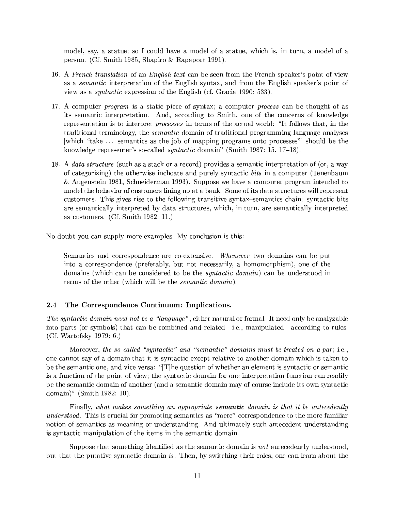model, say, a statue; so I could have a model of a statue, which is, in turn, a model of a person. (Cf. Smith 1985, Shapiro & Rapaport 1991).

- 16. A French translation of an English text can be seen from the French speaker's point of view as a *semantic* interpretation of the English syntax, and from the English speaker's point of view as a *syntactic* expression of the English (cf. Gracia 1990: 533).
- 17. A computer *program* is a static piece of syntax; a computer *process* can be thought of as its semantic interpretation. And, according to Smith, one of the concerns of knowledge representation is to interpret *processes* in terms of the actual world: "It follows that, in the traditional terminology, the *semantic* domain of traditional programming language analyses which "take... semantics as the job of mapping programs onto processes" should be the knowledge representer's so-called *syntactic* domain" (Smith 1987: 15, 17-18).
- 18. A *data structure* (such as a stack or a record) provides a semantic interpretation of (or, a way of categorizing) the otherwise inchoate and purely syntactic bits in a computer (Tenenbaum & Augenstein 1981, Schneiderman 1993). Suppose we have a computer program intended to model the behavior of customers lining up at a bank. Some of its data structures will represent customers. This gives rise to the following transitive syntax-semantics chain: syntactic bits are semantically interpreted by data structures, which, in turn, are semantically interpreted as customers.  $(Cf. Smith 1982: 11.)$

No doubt you can supply more examples. My conclusion is this:

Semantics and correspondence are co-extensive. Whenever two domains can be put into a correspondence (preferably, but not necessarily, a homomorphism), one of the domains (which can be considered to be the *syntactic domain*) can be understood in terms of the other (which will be the *semantic domain*).

#### $2.4$ The Correspondence Continuum: Implications.

The syntactic domain need not be a "language", either natural or formal. It need only be analyzable into parts (or symbols) that can be combined and related—i.e., manipulated—according to rules.  $(Cf. Wartofsky 1979: 6.)$ 

Moreover, the so-called "syntactic" and "semantic" domains must be treated on a par; i.e., one cannot say of a domain that it is syntactic except relative to another domain which is taken to be the semantic one, and vice versa: "The question of whether an element is syntactic or semantic is a function of the point of view; the syntactic domain for one interpretation function can readily be the semantic domain of another (and a semantic domain may of course include its own syntactic domain)" (Smith 1982: 10).

Finally, what makes something an appropriate semantic domain is that it be antecedently *understood*. This is crucial for promoting semantics as "mere" correspondence to the more familiar notion of semantics as meaning or understanding. And ultimately such antecedent understanding is syntactic manipulation of the items in the semantic domain.

Suppose that something identified as the semantic domain is not antecedently understood, but that the putative syntactic domain is. Then, by switching their roles, one can learn about the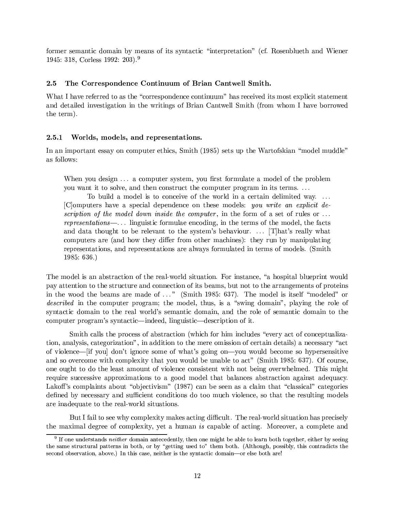former semantic domain by means of its syntactic "interpretation" (cf. Rosenblueth and Wiener 1945: 318, Corless 1992: 203).<sup>9</sup>

#### The Correspondence Continuum of Brian Cantwell Smith.  $2.5\,$

What I have referred to as the "correspondence continuum" has received its most explicit statement and detailed investigation in the writings of Brian Cantwell Smith (from whom I have borrowed the term).

#### 2.5.1 Worlds, models, and representations.

In an important essay on computer ethics, Smith (1985) sets up the Wartofskian "model muddle" as follows:

When you design ... a computer system, you first formulate a model of the problem you want it to solve, and then construct the computer program in its terms...

To build a model is to conceive of the world in a certain delimited way... [C] computers have a special dependence on these models: you write an explicit description of the model down inside the computer, in the form of a set of rules or  $\dots$ representations—... linguistic formulae encoding, in the terms of the model, the facts and data thought to be relevant to the system's behaviour. ... [T]hat's really what computers are (and how they differ from other machines): they run by manipulating representations, and representations are always formulated in terms of models. (Smith  $1985:636.$ 

The model is an abstraction of the real-world situation. For instance, "a hospital blueprint would pay attention to the structure and connection of its beams, but not to the arrangements of proteins in the wood the beams are made of ..." (Smith 1985: 637). The model is itself "modeled" or *described* in the computer program; the model, thus, is a "swing domain", playing the role of syntactic domain to the real world's semantic domain, and the role of semantic domain to the computer program's syntactic—indeed, linguistic—description of it.

Smith calls the process of abstraction (which for him includes "every act of conceptualization, analysis, categorization", in addition to the mere omission of certain details) a necessary "act of violence—[if you] don't ignore some of what's going on—you would become so hypersensitive and so overcome with complexity that you would be unable to act" (Smith 1985: 637). Of course, one ought to do the least amount of violence consistent with not being overwhelmed. This might require successive approximations to a good model that balances abstraction against adequacy. Lakoff's complaints about "objectivism" (1987) can be seen as a claim that "classical" categories defined by necessary and sufficient conditions do too much violence, so that the resulting models are inadequate to the real-world situations.

But I fail to see why complexity makes acting difficult. The real-world situation has precisely the maximal degree of complexity, yet a human is capable of acting. Moreover, a complete and

<sup>&</sup>lt;sup>9</sup> If one understands *neither* domain antecedently, then one might be able to learn both together, either by seeing the same structural patterns in both, or by "getting used to" them both. (Although, possibly, this contradicts the second observation, above.) In this case, neither is the syntactic domain—or else both are!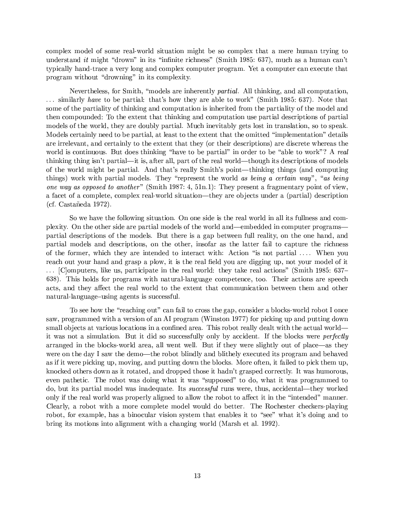complex model of some real-world situation might be so complex that a mere human trying to understand it might "drown" in its "infinite richness" (Smith 1985: 637), much as a human can't typically hand-trace a very long and complex computer program. Yet a computer can execute that program without "drowning" in its complexity.

Nevertheless, for Smith, "models are inherently *partial*. All thinking, and all computation, ... similarly have to be partial: that's how they are able to work" (Smith 1985: 637). Note that some of the partiality of thinking and computation is inherited from the partiality of the model and then compounded: To the extent that thinking and computation use partial descriptions of partial models of the world, they are doubly partial. Much inevitably gets lost in translation, so to speak. Models certainly need to be partial, at least to the extent that the omitted "implementation" details are irrelevant, and certainly to the extent that they (or their descriptions) are discrete whereas the world is continuous. But does thinking "have to be partial" in order to be "able to work"? A real thinking thing isn't partial—it is, after all, part of the real world—though its descriptions of models of the world might be partial. And that's really Smith's point—thinking things (and computing things) work with partial models. They "represent the world as being a certain way", "as being one way as opposed to another" (Smith 1987: 4, 51n.1): They present a fragmentary point of view, a facet of a complete, complex real-world situation—they are objects under a (partial) description  $(cf. Castañeda 1972).$ 

So we have the following situation. On one side is the real world in all its fullness and complexity. On the other side are partial models of the world and—embedded in computer programs partial descriptions of the models. But there is a gap between full reality, on the one hand, and partial models and descriptions, on the other, insofar as the latter fail to capture the richness of the former, which they are intended to interact with: Action "is not partial  $\dots$ . When you reach out your hand and grasp a plow, it is the real field you are digging up, not your model of it ... [Computers, like us, participate in the real world: they take real actions" (Smith 1985: 637– 638). This holds for programs with natural-language competence, too. Their actions are speech acts, and they affect the real world to the extent that communication between them and other natural-language-using agents is successful.

To see how the "reaching out" can fail to cross the gap, consider a blocks-world robot I once saw, programmed with a version of an AI program (Winston 1977) for picking up and putting down small objects at various locations in a confined area. This robot really dealt with the actual world it was not a simulation. But it did so successfully only by accident. If the blocks were *perfectly* arranged in the blocks-world area, all went well. But if they were slightly out of place—as they were on the day I saw the demo—the robot blindly and blithely executed its program and behaved as if it were picking up, moving, and putting down the blocks. More often, it failed to pick them up, knocked others down as it rotated, and dropped those it hadn't grasped correctly. It was humorous, even pathetic. The robot was doing what it was "supposed" to do, what it was programmed to do, but its partial model was inadequate. Its *successful* runs were, thus, accidental—they worked only if the real world was properly aligned to allow the robot to affect it in the "intended" manner. Clearly, a robot with a more complete model would do better. The Rochester checkers-playing robot, for example, has a binocular vision system that enables it to "see" what it's doing and to bring its motions into alignment with a changing world (Marsh et al. 1992).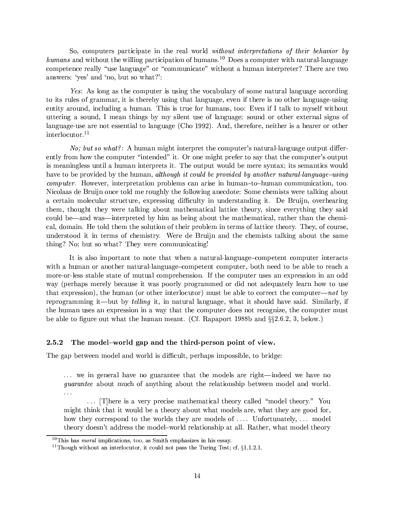So, computers participate in the real world without interpretations of their behavior by humans and without the willing participation of humans.<sup>10</sup> Does a computer with natural-language competence really "use language" or "communicate" without a human interpreter? There are two answers: 'yes' and 'no, but so what?':

Yes: As long as the computer is using the vocabulary of some natural language according to its rules of grammar, it is thereby using that language, even if there is no other language-using entity around, including a human. This is true for humans, too: Even if I talk to myself without uttering a sound, I mean things by my silent use of language; sound or other external signs of language-use are not essential to language (Cho 1992). And, therefore, neither is a hearer or other interlocutor.<sup>11</sup>

No; but so what?: A human might interpret the computer's natural-language output differently from how the computer "intended" it. Or one might prefer to say that the computer's output is meaningless until a human interprets it. The output would be mere syntax; its semantics would have to be provided by the human, although it could be provided by another natural-language-using *computer.* However, interpretation problems can arise in human-to-human communication, too. Nicolaas de Bruijn once told me roughly the following anecdote: Some chemists were talking about a certain molecular structure, expressing difficulty in understanding it. De Bruijn, overhearing them, thought they were talking about mathematical lattice theory, since everything they said could be—and was—interpreted by him as being about the mathematical, rather than the chemical, domain. He told them the solution of their problem in terms of lattice theory. They, of course, understood it in terms of chemistry. Were de Bruijn and the chemists talking about the same thing? No; but so what? They were communicating!

It is also important to note that when a natural-language-competent computer interacts with a human or another natural-language-competent computer, both need to be able to reach a more-or-less stable state of mutual comprehension. If the computer uses an expression in an odd way (perhaps merely because it was poorly programmed or did not adequately learn how to use that expression), the human (or other interlocutor) must be able to correct the computer—not by reprogramming it—but by *telling* it, in natural language, what it should have said. Similarly, if the human uses an expression in a way that the computer does not recognize, the computer must be able to figure out what the human meant. (Cf. Rapaport 1988b and  $\S$ 2.6.2, 3, below.)

#### 2.5.2 The model-world gap and the third-person point of view.

The gap between model and world is difficult, perhaps impossible, to bridge:

... we in general have no guarantee that the models are right—indeed we have no *quarantee* about much of anything about the relationship between model and world.  $\ldots$ 

... [T]here is a very precise mathematical theory called "model theory." You might think that it would be a theory about what models are, what they are good for, how they correspond to the worlds they are models of .... Unfortunately, ... model theory doesn't address the model-world relationship at all. Rather, what model theory

<sup>&</sup>lt;sup>10</sup>This has *moral* implications, too, as Smith emphasizes in his essay.

<sup>&</sup>lt;sup>11</sup>Though without an interlocutor, it could not pass the Turing Test; cf.  $\S 1.1.2.1$ .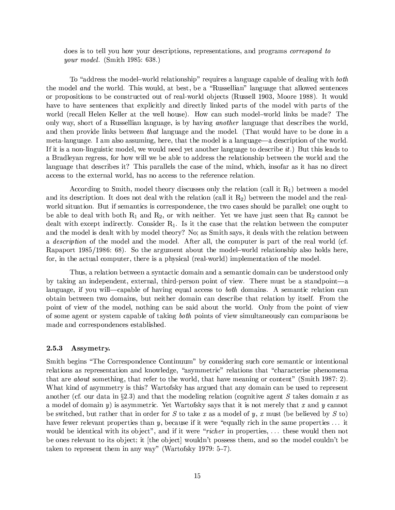does is to tell you how your descriptions, representations, and programs *correspond to your model.* (Smith 1985: 638.)

To "address the model-world relationship" requires a language capable of dealing with both the model and the world. This would, at best, be a "Russellian" language that allowed sentences or propositions to be constructed out of real-world objects (Russell 1903, Moore 1988). It would have to have sentences that explicitly and directly linked parts of the model with parts of the world (recall Helen Keller at the well house). How can such model-world links be made? The only way, short of a Russellian language, is by having *another* language that describes the world, and then provide links between *that* language and the model. (That would have to be done in a meta-language. I am also assuming, here, that the model is a language—a description of the world. If it is a non-linguistic model, we would need yet another language to describe  $it$ .) But this leads to a Bradleyan regress, for how will we be able to address the relationship between the world and the language that describes it? This parallels the case of the mind, which, insofar as it has no direct access to the external world, has no access to the reference relation.

According to Smith, model theory discusses only the relation (call it  $R_1$ ) between a model and its description. It does not deal with the relation (call it  $R_2$ ) between the model and the realworld situation. But if semantics is correspondence, the two cases should be parallel; one ought to be able to deal with both  $R_1$  and  $R_2$ , or with neither. Yet we have just seen that  $R_2$  cannot be dealt with except indirectly. Consider  $R_1$ . Is it the case that the relation between the computer and the model is dealt with by model theory? No: as Smith says, it deals with the relation between a *description* of the model and the model. After all, the computer is part of the real world (cf. Rapaport 1985/1986: 68). So the argument about the model-world relationship also holds here. for, in the actual computer, there is a physical (real-world) implementation of the model.

Thus, a relation between a syntactic domain and a semantic domain can be understood only by taking an independent, external, third-person point of view. There must be a standpoint-a language, if you will—capable of having equal access to *both* domains. A semantic relation can obtain between two domains, but neither domain can describe that relation by itself. From the point of view of the model, nothing can be said about the world. Only from the point of view of some agent or system capable of taking *both* points of view simultaneously can comparisons be made and correspondences established.

#### 2.5.3 Assymetry.

Smith begins "The Correspondence Continuum" by considering such core semantic or intentional relations as representation and knowledge, "asymmetric" relations that "characterise phenomena that are about something, that refer to the world, that have meaning or content" (Smith 1987: 2). What kind of asymmetry is this? Wartofsky has argued that any domain can be used to represent another (cf. our data in §2.3) and that the modeling relation (cognitive agent S takes domain x as a model of domain y) is asymmetric. Yet Wartofsky says that it is not merely that x and y cannot be switched, but rather that in order for S to take x as a model of y, x must (be believed by S to) have fewer relevant properties than  $y$ , because if it were "equally rich in the same properties ... it would be identical with its object", and if it were "richer in properties, ... these would then not be ones relevant to its object; it [the object] wouldn't possess them, and so the model couldn't be taken to represent them in any way" (Wartofsky 1979:  $5-7$ ).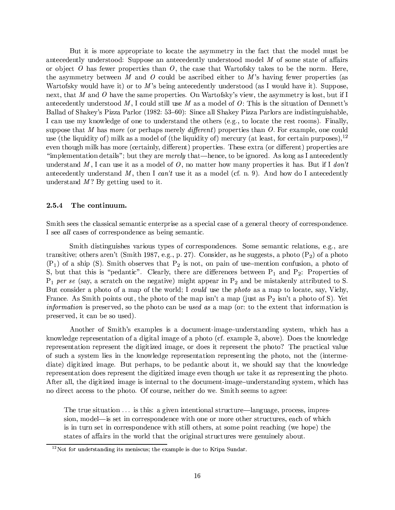But it is more appropriate to locate the asymmetry in the fact that the model must be antecedently understood: Suppose an antecedently understood model M of some state of affairs or object O has fewer properties than O, the case that Wartofsky takes to be the norm. Here, the asymmetry between M and O could be ascribed either to M's having fewer properties (as Wartofsky would have it) or to M's being antecedently understood (as I would have it). Suppose, next, that M and O have the same properties. On Wartofsky's view, the asymmetry is lost, but if I antecedently understood M, I could still use M as a model of O: This is the situation of Dennett's Ballad of Shakey's Pizza Parlor (1982: 53–60): Since all Shakey Pizza Parlors are indistinguishable, I can use my knowledge of one to understand the others (e.g., to locate the rest rooms). Finally, suppose that M has more (or perhaps merely different) properties than  $O$ . For example, one could use (the liquidity of) milk as a model of (the liquidity of) mercury (at least, for certain purposes),  $^{12}$ even though milk has more (certainly, different) properties. These extra (or different) properties are "implementation details"; but they are *merely* that—hence, to be ignored. As long as I antecedently understand M, I can use it as a model of O, no matter how many properties it has. But if I don't antecedently understand M, then I can't use it as a model (cf. n. 9). And how do I antecedently understand  $M$ ? By getting used to it.

#### 2.5.4 The continuum.

Smith sees the classical semantic enterprise as a special case of a general theory of correspondence. I see *all* cases of correspondence as being semantic.

Smith distinguishes various types of correspondences. Some semantic relations, e.g., are transitive; others aren't (Smith 1987, e.g., p. 27). Consider, as he suggests, a photo  $(P_2)$  of a photo  $(P_1)$  of a ship (S). Smith observes that  $P_2$  is not, on pain of use-mention confusion, a photo of S, but that this is "pedantic". Clearly, there are differences between  $P_1$  and  $P_2$ : Properties of  $P_1$  per se (say, a scratch on the negative) might appear in  $P_2$  and be mistakenly attributed to S. But consider a photo of a map of the world; I could use the photo as a map to locate, say, Vichy, France. As Smith points out, the photo of the map isn't a map (just as  $P_2$  isn't a photo of S). Yet *information* is preserved, so the photo can be used as a map (or: to the extent that information is preserved, it can be so used).

Another of Smith's examples is a document-image-understanding system, which has a knowledge representation of a digital image of a photo (cf. example 3, above). Does the knowledge representation represent the digitized image, or does it represent the photo? The practical value of such a system lies in the knowledge representation representing the photo, not the (intermediate) digitized image. But perhaps, to be pedantic about it, we should say that the knowledge representation does represent the digitized image even though we take it as representing the photo. After all, the digitized image is internal to the document-image-understanding system, which has no direct access to the photo. Of course, neither do we. Smith seems to agree:

The true situation ... is this: a given intentional structure—language, process, impression, model—is set in correspondence with one or more other structures, each of which is in turn set in correspondence with still others, at some point reaching (we hope) the states of affairs in the world that the original structures were genuinely about.

 $^{12}$ Not for understanding its meniscus; the example is due to Kripa Sundar.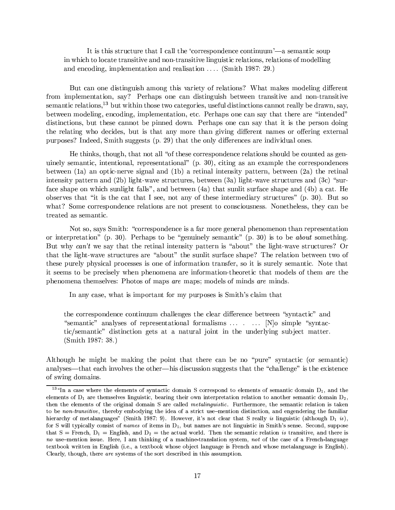It is this structure that I call the 'correspondence continuum'—a semantic soup in which to locate transitive and non-transitive linguistic relations, relations of modelling and encoding, implementation and realisation  $\ldots$  (Smith 1987: 29.)

But can one distinguish among this variety of relations? What makes modeling different from implementation, say? Perhaps one can distinguish between transitive and non-transitive semantic relations,<sup>13</sup> but within those two categories, useful distinctions cannot really be drawn, say, between modeling, encoding, implementation, etc. Perhaps one can say that there are "intended" distinctions, but these cannot be pinned down. Perhaps one can say that it is the person doing the relating who decides, but is that any more than giving different names or offering external purposes? Indeed, Smith suggests (p. 29) that the only differences are individual ones.

He thinks, though, that not all "of these correspondence relations should be counted as genuinely semantic, intentional, representational" (p. 30), citing as an example the correspondences between  $(1a)$  an optic-nerve signal and  $(1b)$  a retinal intensity pattern, between  $(2a)$  the retinal intensity pattern and (2b) light-wave structures, between (3a) light-wave structures and (3c) "surface shape on which sunlight falls", and between  $(4a)$  that sunlit surface shape and  $(4b)$  a cat. He observes that "it is the cat that I see, not any of these intermediary structures" (p. 30). But so what? Some correspondence relations are not present to consciousness. Nonetheless, they can be treated as semantic.

Not so, says Smith: "correspondence is a far more general phenomenon than representation or interpretation" (p. 30). Perhaps to be "genuinely semantic" (p. 30) is to be *about* something. But why can't we say that the retinal intensity pattern is "about" the light-wave structures? Or that the light-wave structures are "about" the sunlit surface shape? The relation between two of these purely physical processes is one of information transfer, so it is surely semantic. Note that it seems to be precisely when phenomena are information-theoretic that models of them are the phenomena themselves: Photos of maps are maps; models of minds are minds.

In any case, what is important for my purposes is Smith's claim that

the correspondence continuum challenges the clear difference between "syntactic" and "semantic" analyses of representational formalisms ... ... [N] o simple "syntactic/semantic" distinction gets at a natural joint in the underlying subject matter. (Smith 1987: 38.)

Although he might be making the point that there can be no "pure" syntactic (or semantic) analyses—that each involves the other—his discussion suggests that the "challenge" is the existence of swing domains.

 $13\frac{13}{10}$  a case where the elements of syntactic domain S correspond to elements of semantic domain D<sub>1</sub>, and the elements of  $D_1$  are themselves linguistic, bearing their own interpretation relation to another semantic domain  $D_2$ , then the elements of the original domain S are called *metalinguistic*. Furthermore, the semantic relation is taken to be non-transitive, thereby embodying the idea of a strict use-mention distinction, and engendering the familiar hierarchy of metalanguages" (Smith 1987: 9). However, it's not clear that S really is linguistic (although  $D_1$  is), for S will typically consist of names of items in  $D_1$ , but names are not linguistic in Smith's sense. Second, suppose that S = French,  $D_1$  = English, and  $D_2$  = the actual world. Then the semantic relation is transitive, and there is no use-mention issue. Here, I am thinking of a machine-translation system, not of the case of a French-language textbook written in English (i.e., a textbook whose object language is French and whose metalanguage is English). Clearly, though, there are systems of the sort described in this assumption.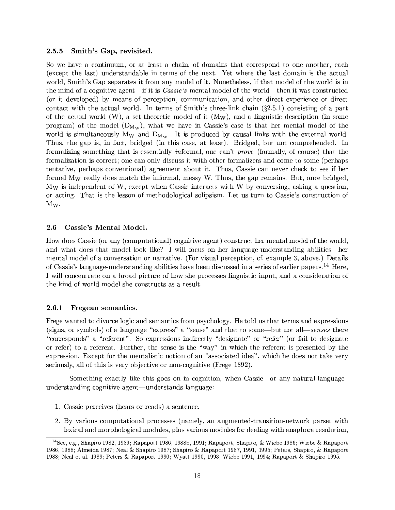#### Smith's Gap, revisited. 2.5.5

So we have a continuum, or at least a chain, of domains that correspond to one another, each (except the last) understandable in terms of the next. Yet where the last domain is the actual world. Smith's Gap separates it from any model of it. Nonetheless, if that model of the world is in the mind of a cognitive agent—if it is *Cassic's* mental model of the world—then it was constructed (or it developed) by means of perception, communication, and other direct experience or direct contact with the actual world. In terms of Smith's three-link chain  $(\S 2.5.1)$  consisting of a part of the actual world (W), a set-theoretic model of it  $(M_W)$ , and a linguistic description (in some program) of the model  $(D_{M_W})$ , what we have in Cassie's case is that her mental model of the world is simultaneously  $M_W$  and  $D_{M_W}$ . It is produced by causal links with the external world. Thus, the gap is, in fact, bridged (in this case, at least). Bridged, but not comprehended. In formalizing something that is essentially *informal*, one can't *prove* (formally, of course) that the formalization is correct; one can only discuss it with other formalizers and come to some (perhaps tentative, perhaps conventional) agreement about it. Thus, Cassie can never check to see if her formal  $M_W$  really does match the informal, messy W. Thus, the gap remains. But, once bridged,  $M_W$  is independent of W, except when Cassie interacts with W by conversing, asking a question. or acting. That is the lesson of methodological solipsism. Let us turn to Cassie's construction of  $M_W$ .

#### 2.6 Cassie's Mental Model.

How does Cassie (or any (computational) cognitive agent) construct her mental model of the world. and what does that model look like? I will focus on her language-understanding abilities—her mental model of a conversation or narrative. (For visual perception, cf. example 3, above.) Details of Cassie's language-understanding abilities have been discussed in a series of earlier papers.<sup>14</sup> Here. I will concentrate on a broad picture of how she processes linguistic input, and a consideration of the kind of world model she constructs as a result.

#### 2.6.1 Fregean semantics.

Frege wanted to divorce logic and semantics from psychology. He told us that terms and expressions (signs, or symbols) of a language "express" a "sense" and that to some—but not all—senses there "corresponds" a "referent". So expressions indirectly "designate" or "refer" (or fail to designate or refer) to a referent. Further, the sense is the "way" in which the referent is presented by the expression. Except for the mentalistic notion of an "associated idea", which he does not take very seriously, all of this is very objective or non-cognitive (Frege 1892).

Something exactly like this goes on in cognition, when Cassie—or any natural-languageunderstanding cognitive agent—understands language:

- 1. Cassie perceives (hears or reads) a sentence.
- 2. By various computational processes (namely, an augmented-transition-network parser with lexical and morphological modules, plus various modules for dealing with anaphora resolution.

 $^{14}$ See, e.g., Shapiro 1982, 1989; Rapaport 1986, 1988b, 1991; Rapaport, Shapiro, & Wiebe 1986; Wiebe & Rapaport 1986, 1988; Almeida 1987; Neal & Shapiro 1987; Shapiro & Rapaport 1987, 1991, 1995; Peters, Shapiro, & Rapaport 1988; Neal et al. 1989; Peters & Rapaport 1990; Wyatt 1990, 1993; Wiebe 1991, 1994; Rapaport & Shapiro 1995.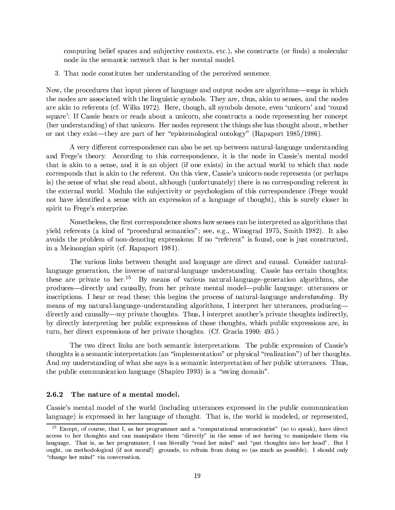computing belief spaces and subjective contexts, etc.), she constructs (or finds) a molecular node in the semantic network that is her mental model.

3. That node constitutes her understanding of the perceived sentence.

Now, the procedures that input pieces of language and output nodes are algorithms—*ways* in which the nodes are associated with the linguistic symbols. They are, thus, akin to senses, and the nodes are akin to referents (cf. Wilks 1972). Here, though, all symbols denote, even 'unicorn' and 'round square': If Cassie hears or reads about a unicorn, she constructs a node representing her concept (her understanding) of that unicorn. Her nodes represent the things she has thought about, whether or not they exist—they are part of her "epistemological ontology" (Rapaport 1985/1986).

A very different correspondence can also be set up between natural-language understanding and Frege's theory. According to this correspondence, it is the node in Cassie's mental model that is akin to a sense, and it is an object (if one exists) in the actual world to which that node corresponds that is akin to the referent. On this view, Cassie's unicorn-node represents (or perhaps is) the sense of what she read about, although (unfortunately) there is no corresponding referent in the external world. Modulo the subjectivity or psychologism of this correspondence (Frege would not have identified a sense with an expression of a language of thought), this is surely closer in spirit to Frege's enterprise.

Nonetheless, the first correspondence shows how senses can be interpreted as algorithms that yield referents (a kind of "procedural semantics"; see, e.g., Winograd 1975, Smith 1982). It also avoids the problem of non-denoting expressions: If no "referent" is found, one is just constructed, in a Meinongian spirit (cf. Rapaport 1981).

The various links between thought and language are direct and causal. Consider naturallanguage generation, the inverse of natural-language understanding. Cassie has certain thoughts; these are private to her.<sup>15</sup> By means of various natural-language-generation algorithms, she produces—directly and causally, from her private mental model—public language: utterances or inscriptions. I hear or read these; this begins the process of natural-language *understanding*. By means of  $my$  natural-language-understanding algorithms. I interpret her utterances, producingdirectly and causally—my private thoughts. Thus, I interpret another's private thoughts indirectly, by directly interpreting her public expressions of those thoughts, which public expressions are, in turn, her direct expressions of her private thoughts. (Cf. Gracia 1990: 495.)

The two direct links are both semantic interpretations. The public expression of Cassie's thoughts is a semantic interpretation (an "implementation" or physical "realization") of her thoughts. And my understanding of what she says is a semantic interpretation of her public utterances. Thus, the public communication language (Shapiro 1993) is a "swing domain".

#### 2.6.2 The nature of a mental model.

Cassie's mental model of the world (including utterances expressed in the public communication language) is expressed in her language of thought. That is, the world is modeled, or represented,

<sup>&</sup>lt;sup>15</sup> Except, of course, that I, as her programmer and a "computational neuroscientist" (so to speak), have direct access to her thoughts and can manipulate them "directly" in the sense of not having to manipulate them via language. That is, as her programmer, I can literally "read her mind" and "put thoughts into her head". But I ought, on methodological (if not moral!) grounds, to refrain from doing so (as much as possible). I should only "change her mind" via conversation.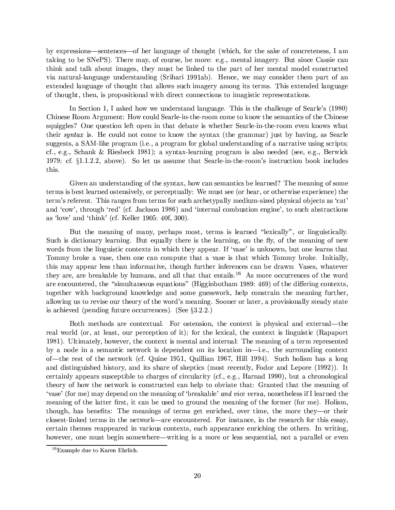by expressions—sentences—of her language of thought (which, for the sake of concreteness, I am taking to be SNePS). There may, of course, be more: e.g., mental imagery. But since Cassie can think and talk about images, they must be linked to the part of her mental model constructed via natural-language understanding (Srihari 1991ab). Hence, we may consider them part of an extended language of thought that allows such imagery among its terms. This extended language of thought, then, is propositional with direct connections to imagistic representations.

In Section 1, I asked how we understand language. This is the challenge of Searle's (1980) Chinese Room Argument: How could Searle-in-the-room come to know the semantics of the Chinese squiggles? One question left open in that debate is whether Searle-in-the-room even knows what their *syntax* is. He could not come to know the syntax (the grammar) just by having, as Searle suggests, a SAM-like program (i.e., a program for global understanding of a narrative using scripts; cf., e.g., Schank & Riesbeck 1981); a syntax-learning program is also needed (see, e.g., Berwick 1979; cf.  $\S1.1.2.2$ , above). So let us assume that Searle-in-the-room's instruction book includes this.

Given an understanding of the syntax, how can semantics be learned? The meaning of some terms is best learned ostensively, or perceptually: We must see (or hear, or otherwise experience) the term's referent. This ranges from terms for such archetypally medium-sized physical objects as 'cat' and 'cow', through 'red' (cf. Jackson 1986) and 'internal combustion engine', to such abstractions as 'love' and 'think' (cf. Keller 1905:  $40f$ , 300).

But the meaning of many, perhaps most, terms is learned "lexically", or linguistically. Such is dictionary learning. But equally there is the learning, on the fly, of the meaning of new words from the linguistic contexts in which they appear. If 'vase' is unknown, but one learns that Tommy broke a vase, then one can compute that a vase is that which Tommy broke. Initially, this may appear less than informative, though further inferences can be drawn: Vases, whatever they are, are breakable by humans, and all that that entails.<sup>16</sup> As more occurrences of the word are encountered, the "simultaneous equations" (Higginbotham 1989: 469) of the differing contexts, together with background knowledge and some guesswork, help constrain the meaning further, allowing us to revise our theory of the word's meaning. Sooner or later, a provisionally steady state is achieved (pending future occurrences). (See  $\S 3.2.2$ .)

Both methods are contextual. For ostension, the context is physical and external—the real world (or, at least, our perception of it); for the lexical, the context is linguistic (Rapaport 1981). Ultimately, however, the context is mental and internal: The meaning of a term represented by a node in a semantic network is dependent on its location in—i.e., the surrounding context of—the rest of the network (cf. Quine 1951, Quillian 1967, Hill 1994). Such holism has a long and distinguished history, and its share of skeptics (most recently, Fodor and Lepore (1992)). It certainly appears susceptible to charges of circularity (cf., e.g., Harnad 1990), but a chronological theory of how the network is constructed can help to obviate that: Granted that the meaning of 'vase' (for me) may depend on the meaning of 'breakable' and vice versa, nonetheless if I learned the meaning of the latter first, it can be used to ground the meaning of the former (for me). Holism. though, has benefits: The meanings of terms get enriched, over time, the more they—or their closest-linked terms in the network—are encountered. For instance, in the research for this essay, certain themes reappeared in various contexts, each appearance enriching the others. In writing, however, one must begin somewhere—writing is a more or less sequential, not a parallel or even

<sup>&</sup>lt;sup>16</sup> Example due to Karen Ehrlich.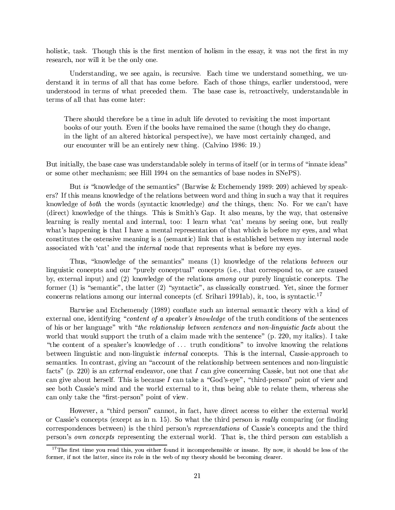holistic, task. Though this is the first mention of holism in the essay, it was not the first in my research, nor will it be the only one.

Understanding, we see again, is recursive. Each time we understand something, we understand it in terms of all that has come before. Each of those things, earlier understood, were understood in terms of what preceded them. The base case is, retroactively, understandable in terms of all that has come later:

There should therefore be a time in adult life devoted to revisiting the most important books of our youth. Even if the books have remained the same (though they do change, in the light of an altered historical perspective), we have most certainly changed, and our encounter will be an entirely new thing. (Calvino 1986: 19.)

But initially, the base case was understandable solely in terms of itself (or in terms of "innate ideas" or some other mechanism; see Hill 1994 on the semantics of base nodes in SNePS).

But is "knowledge of the semantics" (Barwise & Etchemendy 1989: 209) achieved by speakers? If this means knowledge of the relations between word and thing in such a way that it requires knowledge of *both* the words (syntactic knowledge) and the things, then: No. For we can't have (direct) knowledge of the things. This is Smith's Gap. It also means, by the way, that ostensive learning is really mental and internal, too: I learn what 'cat' means by seeing one, but really what's happening is that I have a mental representation of that which is before my eyes, and what constitutes the ostensive meaning is a (semantic) link that is established between my internal node associated with 'cat' and the *internal* node that represents what is before my eyes.

Thus, "knowledge of the semantics" means (1) knowledge of the relations between our linguistic concepts and our "purely conceptual" concepts (i.e., that correspond to, or are caused by, external input) and (2) knowledge of the relations among our purely linguistic concepts. The former  $(1)$  is "semantic", the latter  $(2)$  "syntactic", as classically construed. Yet, since the former concerns relations among our internal concepts (cf. Srihari 1991ab), it, too, is syntactic.<sup>17</sup>

Barwise and Etchemendy (1989) conflate such an internal semantic theory with a kind of external one, identifying "content of a speaker's knowledge of the truth conditions of the sentences of his or her language" with "the relationship between sentences and non-linguistic facts about the world that would support the truth of a claim made with the sentence" (p. 220, my italics). I take "the content of a speaker's knowledge of ... truth conditions" to involve knowing the relations between linguistic and non-linguistic *internal* concepts. This is the internal, Cassie-approach to semantics. In contrast, giving an "account of the relationship between sentences and non-linguistic facts" (p. 220) is an *external* endeavor, one that I can give concerning Cassie, but not one that *she* can give about herself. This is because I can take a "God's-eye", "third-person" point of view and see both Cassie's mind and the world external to it, thus being able to relate them, whereas she can only take the "first-person" point of view.

However, a "third person" cannot, in fact, have direct access to either the external world or Cassie's concepts (except as in n. 15). So what the third person is *really* comparing (or finding correspondences between) is the third person's representations of Cassie's concepts and the third person's own concepts representing the external world. That is, the third person can establish a

 $17$ The first time you read this, you either found it incomprehensible or insane. By now, it should be less of the former, if not the latter, since its role in the web of my theory should be becoming clearer.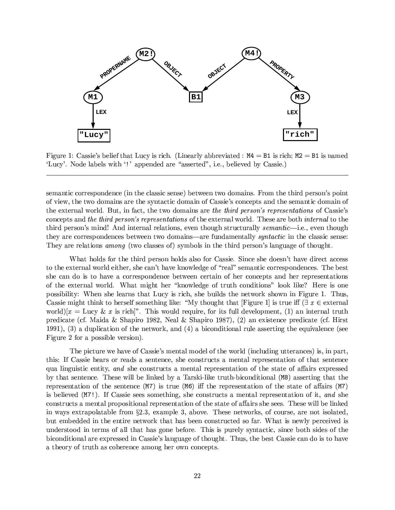

Figure 1: Cassie's belief that Lucy is rich. (Linearly abbreviated :  $M4 = B1$  is rich;  $M2 = B1$  is named 'Lucy'. Node labels with '!' appended are "asserted", i.e., believed by Cassie.)

semantic correspondence (in the classic sense) between two domains. From the third person's point of view, the two domains are the syntactic domain of Cassie's concepts and the semantic domain of the external world. But, in fact, the two domains are the third person's representations of Cassie's concepts and the third person's representations of the external world. These are both internal to the third person's mind! And internal relations, even though structurally semantic-i.e., even though they are correspondences between two domains—are fundamentally *syntactic* in the classic sense: They are relations *among* (two classes of) symbols in the third person's language of thought.

What holds for the third person holds also for Cassie. Since she doesn't have direct access to the external world either, she can't have knowledge of "real" semantic correspondences. The best she can do is to have a correspondence between certain of her concepts and her representations of the external world. What might her "knowledge of truth conditions" look like? Here is one possibility: When she learns that Lucy is rich, she builds the network shown in Figure 1. Thus, Cassie might think to herself something like: "My thought that [Figure 1] is true iff  $(\exists x \in$  external world)  $[x = \text{Lucy} \& x \text{ is rich}]$ . This would require, for its full development, (1) an internal truth predicate (cf. Maida & Shapiro 1982, Neal & Shapiro 1987), (2) an existence predicate (cf. Hirst 1991), (3) a duplication of the network, and  $(4)$  a biconditional rule asserting the equivalence (see Figure 2 for a possible version).

The picture we have of Cassie's mental model of the world (including utterances) is, in part, this: If Cassie hears or reads a sentence, she constructs a mental representation of that sentence qua linguistic entity, and she constructs a mental representation of the state of affairs expressed by that sentence. These will be linked by a Tarski-like truth-biconditional (M8) asserting that the representation of the sentence  $(M7)$  is true  $(M6)$  iff the representation of the state of affairs  $(M7)$ is believed (M7!). If Cassie sees something, she constructs a mental representation of it, and she constructs a mental propositional representation of the state of affairs she sees. These will be linked in ways extrapolatable from  $\S 2.3$ , example 3, above. These networks, of course, are not isolated, but embedded in the entire network that has been constructed so far. What is newly perceived is understood in terms of all that has gone before. This is purely syntactic, since both sides of the biconditional are expressed in Cassie's language of thought. Thus, the best Cassie can do is to have a theory of truth as coherence among her own concepts.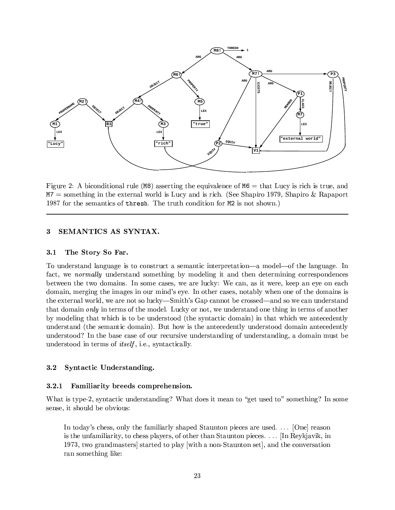

Figure 2: A biconditional rule (M8) asserting the equivalence of  $M6 = \text{that Lucy}$  is rich is true, and  $\texttt{M7} =$  something in the external world is Lucy and is rich. (See Shapiro 1979, Shapiro & Rapaport 1987 for the semantics of thresh. The truth condition for M2 is not shown.)

#### SEMANTICS AS SYNTAX. 3

#### The Story So Far.  $3.1$

To understand language is to construct a semantic interpretation—a model—of the language. In fact, we normally understand something by modeling it and then determining correspondences between the two domains. In some cases, we are lucky: We can, as it were, keep an eye on each domain, merging the images in our mind's eye. In other cases, notably when one of the domains is the external world, we are not so lucky—Smith's Gap cannot be crossed—and so we can understand that domain *only* in terms of the model. Lucky or not, we understand one thing in terms of another by modeling that which is to be understood (the syntactic domain) in that which we antecedently understand (the semantic domain). But how is the antecedently understood domain antecedently understood? In the base case of our recursive understanding of understanding, a domain must be understood in terms of *itself*, i.e., syntactically.

#### 3.2 Syntactic Understanding.

#### 3.2.1 Familiarity breeds comprehension.

What is type-2, syntactic understanding? What does it mean to "get used to" something? In some sense, it should be obvious:

In today's chess, only the familiarly shaped Staunton pieces are used.... [One] reason is the unfamiliarity, to chess players, of other than Staunton pieces. ... [In Reykjavik, in 1973, two grandmasters started to play with a non-Staunton set, and the conversation ran something like: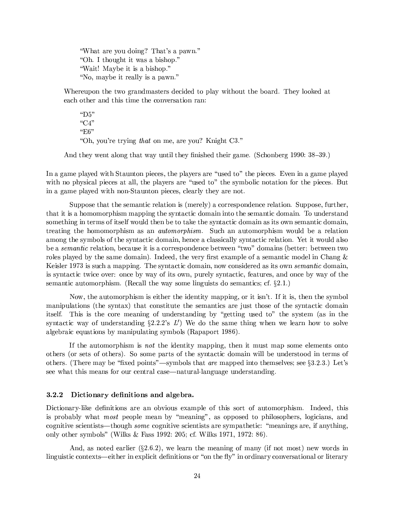"What are you doing? That's a pawn." "Oh. I thought it was a bishop." "Wait! Maybe it is a bishop." "No, maybe it really is a pawn."

Whereupon the two grandmasters decided to play without the board. They looked at each other and this time the conversation ran:

"D5" "C4" "E6" "Oh, you're trying that on me, are you? Knight C3."

And they went along that way until they finished their game. (Schonberg 1990: 38–39.)

In a game played with Staunton pieces, the players are "used to" the pieces. Even in a game played with no physical pieces at all, the players are "used to" the symbolic notation for the pieces. But in a game played with non-Staunton pieces, clearly they are not.

Suppose that the semantic relation is (merely) a correspondence relation. Suppose, further, that it is a homomorphism mapping the syntactic domain into the semantic domain. To understand something in terms of itself would then be to take the syntactic domain as its own semantic domain, treating the homomorphism as an *automorphism*. Such an automorphism would be a relation among the symbols of the syntactic domain, hence a classically syntactic relation. Yet it would also be a *semantic* relation, because it is a correspondence between "two" domains (better: between two roles played by the same domain). Indeed, the very first example of a semantic model in Chang  $\&$ Keisler 1973 is such a mapping. The syntactic domain, now considered as its own *semantic* domain, is syntactic twice over: once by way of its own, purely syntactic, features, and once by way of the semantic automorphism. (Recall the way some linguists do semantics; cf.  $\S 2.1$ .)

Now, the automorphism is either the identity mapping, or it isn't. If it is, then the symbol manipulations (the syntax) that constitute the semantics are just those of the syntactic domain itself. This is the core meaning of understanding by "getting used to" the system (as in the syntactic way of understanding  $\S2.2.2$ 's L') We do the same thing when we learn how to solve algebraic equations by manipulating symbols (Rapaport 1986).

If the automorphism is *not* the identity mapping, then it must map some elements onto others (or sets of others). So some parts of the syntactic domain will be understood in terms of others. (There may be "fixed points"—symbols that are mapped into themselves; see  $\S 3.2.3$ .) Let's see what this means for our central case—natural-language understanding.

#### 3.2.2 Dictionary definitions and algebra.

Dictionary-like definitions are an obvious example of this sort of automorphism. Indeed, this is probably what most people mean by "meaning", as opposed to philosophers, logicians, and cognitive scientists—though *some* cognitive scientists are sympathetic: "meanings are, if anything, only other symbols" (Wilks & Fass 1992: 205; cf. Wilks 1971, 1972: 86).

And, as noted earlier  $(\S2.6.2)$ , we learn the meaning of many (if not most) new words in linguistic contexts—either in explicit definitions or "on the fly" in ordinary conversational or literary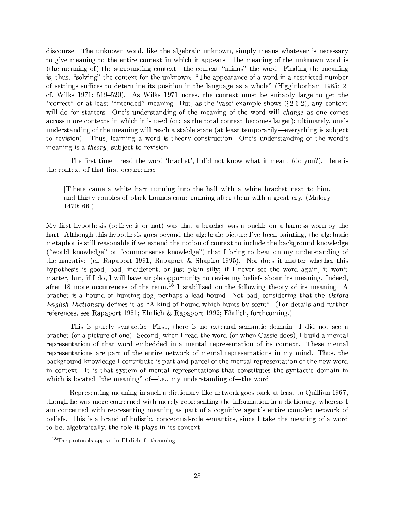discourse. The unknown word, like the algebraic unknown, simply means whatever is necessary to give meaning to the entire context in which it appears. The meaning of the unknown word is (the meaning of) the surrounding context—the context "minus" the word. Finding the meaning is, thus, "solving" the context for the unknown: "The appearance of a word in a restricted number of settings suffices to determine its position in the language as a whole" (Higginbotham 1985: 2; cf. Wilks 1971: 519–520). As Wilks 1971 notes, the context must be suitably large to get the "correct" or at least "intended" meaning. But, as the 'vase' example shows  $(\S2.6.2)$ , any context will do for starters. One's understanding of the meaning of the word will *change* as one comes across more contexts in which it is used (or: as the total context becomes larger); ultimately, one's understanding of the meaning will reach a stable state (at least temporarily—everything is subject to revision). Thus, learning a word is theory construction: One's understanding of the word's meaning is a *theory*, subject to revision.

The first time I read the word 'brachet', I did not know what it meant (do you?). Here is the context of that first occurrence:

There came a white hart running into the hall with a white brachet next to him, and thirty couples of black hounds came running after them with a great cry. (Malory  $1470:66.$ 

My first hypothesis (believe it or not) was that a brachet was a buckle on a harness worn by the hart. Although this hypothesis goes beyond the algebraic picture I've been painting, the algebraic metaphor is still reasonable if we extend the notion of context to include the background knowledge ("world knowledge" or "commonsense knowledge") that I bring to bear on my understanding of the narrative (cf. Rapaport 1991, Rapaport & Shapiro 1995). Nor does it matter whether this hypothesis is good, bad, indifferent, or just plain silly; if I never see the word again, it won't matter, but, if I do, I will have ample opportunity to revise my beliefs about its meaning. Indeed, after 18 more occurrences of the term,<sup>18</sup> I stabilized on the following theory of its meaning: A brachet is a hound or hunting dog, perhaps a lead hound. Not bad, considering that the  $Oxford$ *English Dictionary* defines it as "A kind of hound which hunts by scent". (For details and further references, see Rapaport 1981; Ehrlich & Rapaport 1992; Ehrlich, forthcoming.)

This is purely syntactic: First, there is no external semantic domain: I did not see a brachet (or a picture of one). Second, when I read the word (or when Cassie does), I build a mental representation of that word embedded in a mental representation of its context. These mental representations are part of the entire network of mental representations in my mind. Thus, the background knowledge I contribute is part and parcel of the mental representation of the new word in context. It is that system of mental representations that constitutes the syntactic domain in which is located "the meaning" of-i.e., my understanding of-the word.

Representing meaning in such a dictionary-like network goes back at least to Quillian 1967, though he was more concerned with merely representing the information in a dictionary, whereas I am concerned with representing meaning as part of a cognitive agent's entire complex network of beliefs. This is a brand of holistic, conceptual-role semantics, since I take the meaning of a word to be, algebraically, the role it plays in its context.

 $18$ The protocols appear in Ehrlich, forthcoming.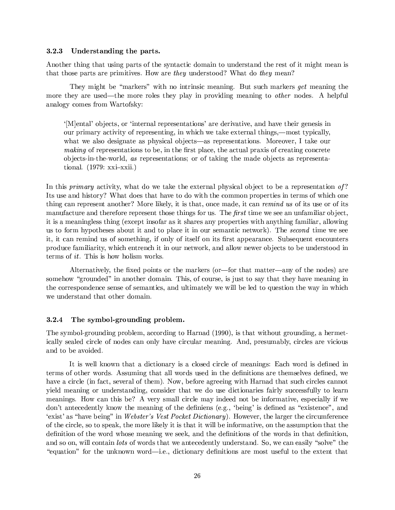#### Understanding the parts. 3.2.3

Another thing that using parts of the syntactic domain to understand the rest of it might mean is that those parts are primitives. How are they understood? What do they mean?

They might be "markers" with no intrinsic meaning. But such markers *qet* meaning the more they are used—the more roles they play in providing meaning to *other* nodes. A helpful analogy comes from Wartofsky:

'[M] ental' objects, or 'internal representations' are derivative, and have their genesis in our primary activity of representing, in which we take external things,—most typically, what we also designate as physical objects—as representations. Moreover, I take our *making* of representations to be, in the first place, the actual praxis of creating concrete objects-in-the-world, as representations; or of taking the made objects as representational.  $(1979: xxi-xxii.)$ 

In this *primary* activity, what do we take the external physical object to be a representation of? Its use and history? What does that have to do with the common properties in terms of which one thing can represent another? More likely, it is that, once made, it can remind us of its use or of its manufacture and therefore represent those things for us. The first time we see an unfamiliar object, it is a meaningless thing (except insofar as it shares any properties with anything familiar, allowing us to form hypotheses about it and to place it in our semantic network). The second time we see it, it can remind us of something, if only of itself on its first appearance. Subsequent encounters produce familiarity, which entrench it in our network, and allow newer objects to be understood in terms of *it*. This is how holism works.

Alternatively, the fixed points or the markers (or-for that matter-any of the nodes) are somehow "grounded" in another domain. This, of course, is just to say that they have meaning in the correspondence sense of semantics, and ultimately we will be led to question the way in which we understand that other domain.

#### 3.2.4 The symbol-grounding problem.

The symbol-grounding problem, according to Harnad (1990), is that without grounding, a hermetically sealed circle of nodes can only have circular meaning. And, presumably, circles are vicious and to be avoided.

It is well known that a dictionary is a closed circle of meanings: Each word is defined in terms of other words. Assuming that all words used in the definitions are themselves defined, we have a circle (in fact, several of them). Now, before agreeing with Harnad that such circles cannot yield meaning or understanding, consider that we do use dictionaries fairly successfully to learn meanings. How can this be? A very small circle may indeed not be informative, especially if we don't antecedently know the meaning of the definiens (e.g., 'being' is defined as "existence", and 'exist' as "have being" in Webster's Vest Pocket Dictionary). However, the larger the circumference of the circle, so to speak, the more likely it is that it will be informative, on the assumption that the definition of the word whose meaning we seek, and the definitions of the words in that definition, and so on, will contain lots of words that we antecedently understand. So, we can easily "solve" the "equation" for the unknown word—i.e., dictionary definitions are most useful to the extent that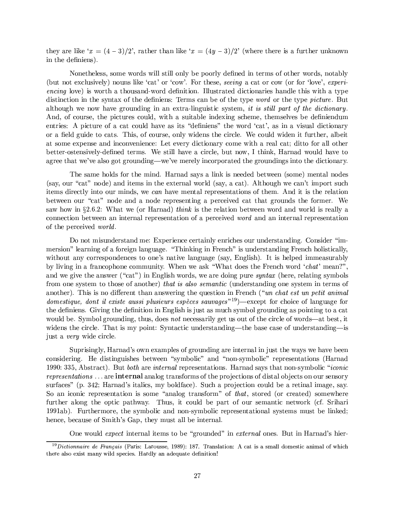they are like ' $x = (4-3)/2$ ', rather than like ' $x = (4y-3)/2$ ' (where there is a further unknown in the definiens).

Nonetheless, some words will still only be poorly defined in terms of other words, notably (but not exclusively) nouns like 'cat' or 'cow'. For these, seeing a cat or cow (or for 'love', experi*encing* love) is worth a thousand-word definition. Illustrated dictionaries handle this with a type distinction in the syntax of the definiens: Terms can be of the type word or the type picture. But although we now have grounding in an extra-linguistic system, it is still part of the dictionary. And, of course, the pictures could, with a suitable indexing scheme, themselves be definiendum entries: A picture of a cat could have as its "definiens" the word 'cat', as in a visual dictionary or a field guide to cats. This, of course, only widens the circle. We could widen it further, albeit at some expense and inconvenience: Let every dictionary come with a real cat; ditto for all other better-ostensively-defined terms. We still have a circle, but now, I think, Harnad would have to agree that we've also got grounding—we've merely incorporated the groundings into the dictionary.

The same holds for the mind. Harnad says a link is needed between (some) mental nodes (say, our "cat" node) and items in the external world (say, a cat). Although we can't import such items directly into our minds, we can have mental representations of them. And it is the relation between our "cat" node and a node representing a perceived cat that grounds the former. We saw how in §2.6.2: What we (or Harnad) think is the relation between word and world is really a connection between an internal representation of a perceived *word* and an internal representation of the perceived *world*.

Do not misunderstand me: Experience certainly enriches our understanding. Consider "immersion" learning of a foreign language. "Thinking in French" is understanding French holistically, without any correspondences to one's native language (say, English). It is helped immeasurably by living in a francophone community. When we ask "What does the French word 'chat' mean?", and we give the answer ("cat") in English words, we are doing pure *syntax* (here, relating symbols from one system to those of another) that is also semantic (understanding one system in terms of another). This is no different than answering the question in French ("un chat est un petit animal domestique, dont il existe aussi plusieurs espèces sauvages<sup>"19</sup>)—except for choice of language for the definiens. Giving the definition in English is just as much symbol grounding as pointing to a cat would be. Symbol grounding, thus, does not necessarily get us out of the circle of words—at best, it widens the circle. That is my point: Syntactic understanding—the base case of understanding—is just a *very* wide circle.

Suprisingly, Harnad's own examples of grounding are internal in just the ways we have been considering. He distinguishes between "symbolic" and "non-symbolic" representations (Harnad 1990: 335, Abstract). But both are internal representations. Harnad says that non-symbolic "iconic representations ... are internal analog transforms of the projections of distal objects on our sensory surfaces" (p. 342; Harnad's italics, my boldface). Such a projection could be a retinal image, say. So an iconic representation is some "analog transform" of that, stored (or created) somewhere further along the optic pathway. Thus, it could be part of our semantic network (cf. Srihari 1991ab). Furthermore, the symbolic and non-symbolic representational systems must be linked; hence, because of Smith's Gap, they must all be internal.

One would *expect* internal items to be "grounded" in *external* ones. But in Harnad's hier-

<sup>&</sup>lt;sup>19</sup> Dictionnaire de Français (Paris: Larousse, 1989): 187. Translation: A cat is a small domestic animal of which there also exist many wild species. Hardly an adequate definition!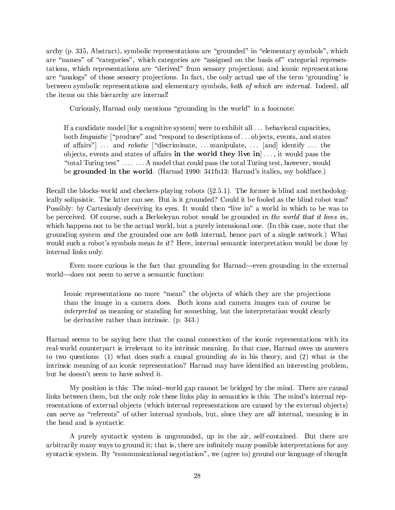archy (p. 335, Abstract), symbolic representations are "grounded" in "elementary symbols", which are "names" of "categories", which categories are "assigned on the basis of" categorial representations, which representations are "derived" from sensory projections; and iconic representations are "analogs" of those sensory projections. In fact, the only actual use of the term 'grounding' is between symbolic representations and elementary symbols, both of which are internal. Indeed, all the items on this hierarchy are internal!

Curiously, Harnad only mentions "grounding in the world" in a footnote:

If a candidate model [for a cognitive system] were to exhibit all ... behavioral capacities, both *linguistic* ["produce" and "respond to descriptions of ... objects, events, and states of affairs"  $\left| \ldots \right|$  and *robotic* ["discriminate, ... manipulate, ... [and] identify ... the objects, events and states of affairs in the world they live in  $\dots$ , it would pass the "total Turing test"....... A model that could pass the total Turing test, however, would be grounded in the world. (Harnad 1990: 341fn13; Harnad's italics, my boldface.)

Recall the blocks-world and checkers-playing robots  $(\S 2.5.1)$ . The former is blind and methodologically solipsistic. The latter can see. But is it grounded? Could it be fooled as the blind robot was? Possibly: by Cartesianly deceiving its eyes. It would then "live in" a world in which to be was to be perceived. Of course, such a Berkeleyan robot would be grounded in the world that it lives in, which happens not to be the actual world, but a purely intensional one. (In this case, note that the grounding system and the grounded one are *both* internal, hence part of a single network.) What would such a robot's symbols mean to it? Here, internal semantic interpretation would be done by internal links only.

Even more curious is the fact that grounding for Harnad—even grounding in the external world—does not seem to serve a semantic function:

Iconic representations no more "mean" the objects of which they are the projections than the image in a camera does. Both icons and camera images can of course be *interpreted* as meaning or standing for something, but the interpretation would clearly be derivative rather than intrinsic.  $(p. 343.)$ 

Harnad seems to be saying here that the causal connection of the iconic representations with its real-world counterpart is irrelevant to its intrinsic meaning. In that case, Harnad owes us answers to two questions: (1) what does such a causal grounding do in his theory, and (2) what is the intrinsic meaning of an iconic representation? Harnad may have identified an interesting problem, but he doesn't seem to have solved it.

My position is this: The mind-world gap cannot be bridged by the mind. There are causal links between them, but the only role these links play in semantics is this: The mind's internal representations of external objects (which internal representations are caused by the external objects) can serve as "referents" of other internal symbols, but, since they are all internal, meaning is in the head and is syntactic.

A purely syntactic system is ungrounded, up in the air, self-contained. But there are arbitrarily many ways to ground it; that is, there are infinitely many possible interpretations for any syntactic system. By "communicational negotiation", we (agree to) ground our language of thought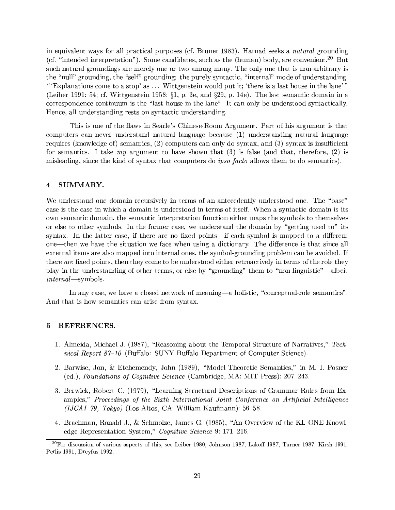in equivalent ways for all practical purposes (cf. Bruner 1983). Harnad seeks a natural grounding (cf. "intended interpretation"). Some candidates, such as the (human) body, are convenient.<sup>20</sup> But such natural groundings are merely one or two among many. The only one that is non-arbitrary is the "null" grounding, the "self" grounding: the purely syntactic, "internal" mode of understanding. "Explanations come to a stop' as ... Wittgenstein would put it; 'there is a last house in the lane'" (Leiber 1991: 54; cf. Wittgenstein 1958: §1, p. 3e, and §29, p. 14e). The last semantic domain in a correspondence continuum is the "last house in the lane". It can only be understood syntactically. Hence, all understanding rests on syntactic understanding.

This is one of the flaws in Searle's Chinese-Room Argument. Part of his argument is that computers can never understand natural language because (1) understanding natural language requires (knowledge of) semantics, (2) computers can only do syntax, and (3) syntax is insufficient for semantics. I take  $my$  argument to have shown that (3) is false (and that, therefore, (2) is misleading, since the kind of syntax that computers do *ipso facto* allows them to do semantics).

#### SUMMARY.  $\overline{\mathbf{4}}$

We understand one domain recursively in terms of an antecedently understood one. The "base" case is the case in which a domain is understood in terms of itself. When a syntactic domain is its own semantic domain, the semantic interpretation function either maps the symbols to themselves or else to other symbols. In the former case, we understand the domain by "getting used to" its syntax. In the latter case, if there are no fixed points—if each symbol is mapped to a different one—then we have the situation we face when using a dictionary. The difference is that since all external items are also mapped into internal ones, the symbol-grounding problem can be avoided. If there are fixed points, then they come to be understood either retroactively in terms of the role they play in the understanding of other terms, or else by "grounding" them to "non-linguistic"—albeit  $internal$ -symbols.

In any case, we have a closed network of meaning—a holistic, "conceptual-role semantics". And that is how semantics can arise from syntax.

#### REFERENCES. 5

- 1. Almeida, Michael J. (1987), "Reasoning about the Temporal Structure of Narratives," Technical Report 87-10 (Buffalo: SUNY Buffalo Department of Computer Science).
- 2. Barwise, Jon, & Etchemendy, John (1989), "Model-Theoretic Semantics," in M. I. Posner (ed.), Foundations of Cognitive Science (Cambridge, MA: MIT Press): 207-243.
- 3. Berwick, Robert C. (1979), "Learning Structural Descriptions of Grammar Rules from Examples," Proceedings of the Sixth International Joint Conference on Artificial Intelligence  $(IJCAI-79, Tokyo)$  (Los Altos, CA: William Kaufmann): 56-58.
- 4. Brachman, Ronald J., & Schmolze, James G. (1985), "An Overview of the KL-ONE Knowledge Representation System," Cognitive Science 9: 171-216.

 $^{20}$ For discussion of various aspects of this, see Leiber 1980, Johnson 1987, Lakoff 1987, Turner 1987, Kirsh 1991, Perlis 1991, Dreyfus 1992.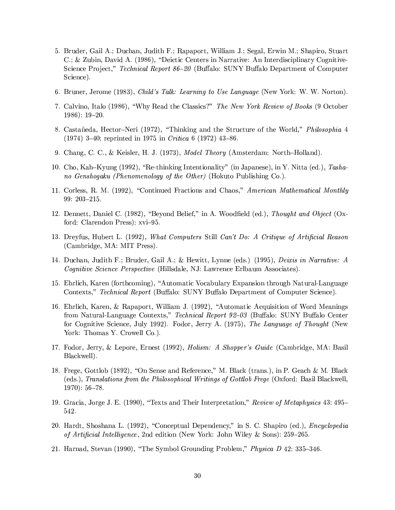- 5. Bruder, Gail A.; Duchan, Judith F.; Rapaport, William J.; Segal, Erwin M.; Shapiro, Stuart C.; & Zubin, David A. (1986), "Deictic Centers in Narrative: An Interdisciplinary Cognitive-Science Project," Technical Report 86-20 (Buffalo: SUNY Buffalo Department of Computer Science).
- 6. Bruner, Jerome (1983), Child's Talk: Learning to Use Language (New York: W. W. Norton).
- 7. Calvino, Italo (1986), "Why Read the Classics?" The New York Review of Books (9 October  $1986$ :  $19-20$ .
- 8. Castañeda, Hector-Neri (1972), "Thinking and the Structure of the World," *Philosophia 4*  $(1974)$  3-40; reprinted in 1975 in *Critica* 6 (1972) 43-86.
- 9. Chang, C. C., & Keisler, H. J. (1973), *Model Theory* (Amsterdam: North-Holland).
- 10. Cho, Kah–Kyung (1992), "Re-thinking Intentionality" (in Japanese), in Y. Nitta (ed.), Tashano Genshogaku (Phenomenology of the Other) (Hokuto Publishing Co.).
- 11. Corless, R. M. (1992), "Continued Fractions and Chaos," American Mathematical Monthly 99: 203-215.
- 12. Dennett, Daniel C. (1982), "Beyond Belief," in A. Woodfield (ed.), Thought and Object (Oxford: Clarendon Press): xvi-95.
- 13. Dreyfus, Hubert L. (1992), What Computers Still Can't Do: A Critique of Artificial Reason (Cambridge, MA: MIT Press).
- 14. Duchan, Judith F.; Bruder, Gail A.; & Hewitt, Lynne (eds.) (1995), Deixis in Narrative: A Cognitive Science Perspective (Hillsdale, NJ: Lawrence Erlbaum Associates).
- 15. Ehrlich, Karen (forthcoming), "Automatic Vocabulary Expansion through Natural-Language Contexts," Technical Report (Buffalo: SUNY Buffalo Department of Computer Science).
- 16. Ehrlich, Karen, & Rapaport, William J. (1992), "Automatic Acquisition of Word Meanings from Natural-Language Contexts," Technical Report 92-03 (Buffalo: SUNY Buffalo Center for Cognitive Science, July 1992). Fodor, Jerry A. (1975), The Language of Thought (New York: Thomas Y. Crowell Co.).
- 17. Fodor, Jerry, & Lepore, Ernest (1992), *Holism: A Shopper's Guide* (Cambridge, MA: Basil Blackwell).
- 18. Frege, Gottlob (1892), "On Sense and Reference," M. Black (trans.), in P. Geach & M. Black (eds.), Translations from the Philosophical Writings of Gottlob Frege (Oxford: Basil Blackwell,  $1970$ : 56-78.
- 19. Gracia, Jorge J. E. (1990), "Texts and Their Interpretation," Review of Metaphysics 43: 495– 542.
- 20. Hardt, Shoshana L. (1992), "Conceptual Dependency," in S. C. Shapiro (ed.), *Encyclopedia* of Artificial Intelligence, 2nd edition (New York: John Wiley & Sons): 259–265.
- 21. Harnad, Stevan (1990), "The Symbol Grounding Problem," Physica D 42: 335–346.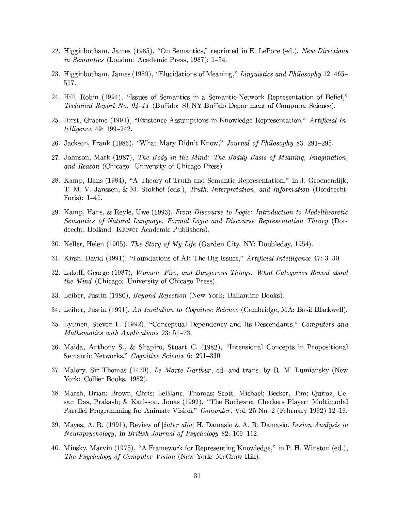- 22. Higginbotham, James (1985), "On Semantics," reprinted in E. LePore (ed.), New Directions *in Semantics* (London: Academic Press, 1987): 1-54.
- 23. Higginbotham, James (1989), "Elucidations of Meaning," Linguistics and Philosophy 12: 465– 517.
- 24. Hill, Robin (1994), "Issues of Semantics in a Semantic-Network Representation of Belief," Technical Report No. 94-11 (Buffalo: SUNY Buffalo Department of Computer Science).
- 25. Hirst, Graeme (1991), "Existence Assumptions in Knowledge Representation," Artificial In $tellingence 49: 199-242.$
- 26. Jackson, Frank (1986), "What Mary Didn't Know," Journal of Philosophy 83: 291–295.
- 27. Johnson, Mark (1987), The Body in the Mind: The Bodily Basis of Meaning, Imagination, and Reason (Chicago: University of Chicago Press).
- 28. Kamp, Hans (1984), "A Theory of Truth and Semantic Representation," in J. Groenendijk, T. M. V. Janssen, & M. Stokhof (eds.), Truth, Interpretation, and Information (Dordrecht: Foris):  $1-41$ .
- 29. Kamp, Hans, & Reyle, Uwe (1993), From Discourse to Logic: Introduction to Modeltheoretic Semantics of Natural Language. Formal Logic and Discourse Representation Theory (Dordrecht, Holland: Kluwer Academic Publishers).
- 30. Keller, Helen (1905), The Story of My Life (Garden City, NY: Doubleday, 1954).
- 31. Kirsh, David (1991), "Foundations of AI: The Big Issues," Artificial Intelligence 47: 3-30.
- 32. Lakoff, George (1987), Women, Fire, and Dangerous Things: What Categories Reveal about the Mind (Chicago: University of Chicago Press).
- 33. Leiber, Justin (1980), *Beyond Rejection* (New York: Ballantine Books).
- 34. Leiber, Justin (1991), An Invitation to Cognitive Science (Cambridge, MA: Basil Blackwell).
- 35. Lytinen, Steven L. (1992), "Conceptual Dependency and Its Descendants," Computers and Mathematics with Applications 23:  $51-73$ .
- 36. Maida, Anthony S., & Shapiro, Stuart C. (1982), "Intensional Concepts in Propositional Semantic Networks," Cognitive Science 6: 291-330.
- 37. Malory, Sir Thomas (1470), Le Morte Darthur, ed. and trans. by R. M. Lumiansky (New York: Collier Books, 1982).
- 38. Marsh, Brian; Brown, Chris; LeBlanc, Thomas; Scott, Michael; Becker, Tim; Quiroz, Cesar; Das, Prakash; & Karlsson, Jonas (1992), "The Rochester Checkers Player: Multimodal Parallel Programming for Animate Vision," Computer, Vol. 25 No. 2 (February 1992) 12-19.
- 39. Mayes, A. R. (1991), Review of [inter alia] H. Damasio & A. R. Damasio, Lesion Analysis in Neuropsychology, in British Journal of Psychology 82: 109-112.
- 40. Minsky, Marvin (1975), "A Framework for Representing Knowledge," in P. H. Winston (ed.), The Psychology of Computer Vision (New York: McGraw-Hill).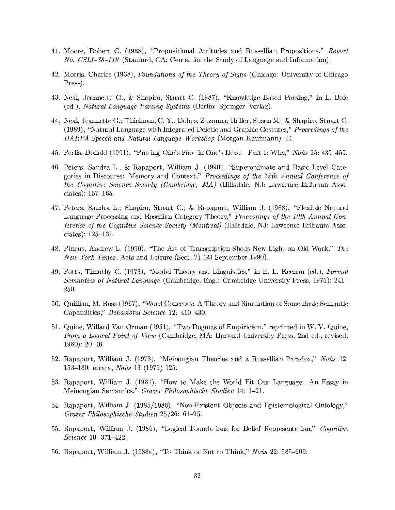- 41. Moore, Robert C. (1988), "Propositional Attitudes and Russellian Propositions," Report No. CSLI-88-119 (Stanford, CA: Center for the Study of Language and Information).
- 42. Morris, Charles (1938), Foundations of the Theory of Signs (Chicago: University of Chicago Press).
- 43. Neal, Jeannette G., & Shapiro, Stuart C. (1987), "Knowledge Based Parsing," in L. Bolc (ed.), Natural Language Parsing Systems (Berlin: Springer-Verlag).
- 44. Neal, Jeannette G.; Thielman, C. Y.; Dobes, Zuzanna; Haller, Susan M.; & Shapiro, Stuart C. (1989), "Natural Language with Integrated Deictic and Graphic Gestures," *Proceedings of the* DARPA Speech and Natural Language Workshop (Morgan Kaufmann): 14.
- 45. Perlis, Donald (1991), "Putting One's Foot in One's Head—Part I: Why," Noûs 25: 435–455.
- 46. Peters, Sandra L., & Rapaport, William J. (1990), "Superordinate and Basic Level Categories in Discourse: Memory and Context," Proceedings of the 12th Annual Conference of *the Cognitive Science Society (Cambridge, MA)* (Hillsdale, NJ: Lawrence Erlbaum Associates):  $157-165$ .
- 47. Peters, Sandra L.; Shapiro, Stuart C.; & Rapaport, William J. (1988), "Flexible Natural Language Processing and Roschian Category Theory," Proceedings of the 10th Annual Conference of the Cognitive Science Society (Montreal) (Hillsdale, NJ: Lawrence Erlbaum Associates): 125-131.
- 48. Pincus, Andrew L. (1990), "The Art of Trnascription Sheds New Light on Old Work," The *New York Times*, Arts and Leisure (Sect. 2) (23 September 1990).
- 49. Potts, Timothy C. (1973), "Model Theory and Linguistics," in E. L. Keenan (ed.), Formal *Semantics of Natural Language* (Cambridge, Eng.: Cambridge University Press, 1975): 241– 250.
- 50. Quillian, M. Ross (1967), "Word Concepts: A Theory and Simulation of Some Basic Semantic Capabilities," *Behavioral Science* 12: 410–430.
- 51. Quine, Willard Van Orman (1951), "Two Dogmas of Empiricism," reprinted in W. V. Quine, From a Logical Point of View (Cambridge, MA: Harvard University Press, 2nd ed., revised,  $1980$ : 20-46.
- 52. Rapaport, William J. (1978), "Meinongian Theories and a Russellian Paradox," Noûs 12: 153-180; errata,  $No\hat{u}s$  13 (1979) 125.
- 53. Rapaport, William J. (1981), "How to Make the World Fit Our Language: An Essay in Meinongian Semantics," Grazer Philosophische Studien 14: 1–21.
- 54. Rapaport, William J. (1985/1986), "Non-Existent Objects and Epistemological Ontology," Grazer Philosophische Studien 25/26: 61-95.
- 55. Rapaport, William J. (1986), "Logical Foundations for Belief Representation," Cognitive *Science* 10: 371-422.
- 56. Rapaport, William J. (1988a), "To Think or Not to Think," Nous 22: 585–609.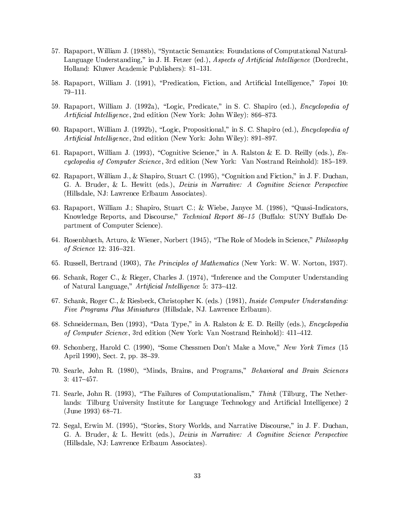- 57. Rapaport, William J. (1988b), "Syntactic Semantics: Foundations of Computational Natural-Language Understanding," in J. H. Fetzer (ed.), Aspects of Artificial Intelligence (Dordrecht, Holland: Kluwer Academic Publishers): 81–131.
- 58. Rapaport, William J. (1991), "Predication, Fiction, and Artificial Intelligence," Topoi 10:  $79 - 111.$
- 59. Rapaport, William J. (1992a), "Logic, Predicate," in S. C. Shapiro (ed.), *Encyclopedia of Artificial Intelligence*, 2nd edition (New York: John Wiley): 866–873.
- 60. Rapaport, William J. (1992b), "Logic, Propositional," in S. C. Shapiro (ed.), *Encyclopedia of* Artificial Intelligence, 2nd edition (New York: John Wiley): 891-897.
- 61. Rapaport, William J. (1993), "Cognitive Science," in A. Ralston & E. D. Reilly (eds.),  $En$ cyclopedia of Computer Science, 3rd edition (New York: Van Nostrand Reinhold): 185–189.
- 62. Rapaport, William J., & Shapiro, Stuart C. (1995), "Cognition and Fiction," in J. F. Duchan, G. A. Bruder, & L. Hewitt (eds.), *Deixis in Narrative: A Cognitive Science Perspective* (Hillsdale, NJ: Lawrence Erlbaum Associates).
- 63. Rapaport, William J.; Shapiro, Stuart C.; & Wiebe, Janyce M. (1986), "Quasi-Indicators, Knowledge Reports, and Discourse," Technical Report 86-15 (Buffalo: SUNY Buffalo Department of Computer Science.
- 64. Rosenblueth, Arturo, & Wiener, Norbert (1945), "The Role of Models in Science," Philosophy of Science 12: 316-321.
- 65. Russell, Bertrand (1903), The Principles of Mathematics (New York: W. W. Norton, 1937).
- 66. Schank, Roger C., & Rieger, Charles J. (1974), "Inference and the Computer Understanding of Natural Language," Artificial Intelligence 5: 373-412.
- 67. Schank, Roger C., & Riesbeck, Christopher K. (eds.) (1981), Inside Computer Understanding: *Five Programs Plus Miniatures* (Hillsdale, NJ. Lawrence Erlbaum).
- 68. Schneiderman, Ben (1993), "Data Type," in A. Ralston & E. D. Reilly (eds.), *Encyclopedia* of Computer Science, 3rd edition (New York: Van Nostrand Reinhold): 411–412.
- 69. Schonberg, Harold C. (1990), "Some Chessmen Don't Make a Move," New York Times (15 April 1990), Sect. 2, pp. 38-39.
- 70. Searle, John R. (1980), "Minds, Brains, and Programs," Behavioral and Brain Sciences  $3:417 - 457.$
- 71. Searle, John R. (1993), "The Failures of Computationalism," Think (Tilburg, The Netherlands: Tilburg University Institute for Language Technology and Artificial Intelligence) 2 (June 1993) 68-71.
- 72. Segal, Erwin M. (1995), "Stories, Story Worlds, and Narrative Discourse," in J. F. Duchan, G. A. Bruder, & L. Hewitt (eds.), *Deixis in Narrative: A Cognitive Science Perspective* (Hillsdale, NJ: Lawrence Erlbaum Associates).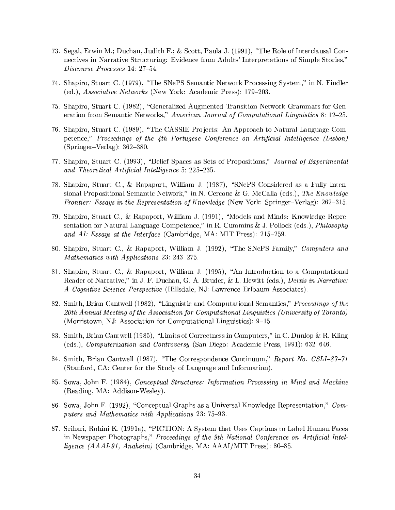- 73. Segal, Erwin M.; Duchan, Judith F.; & Scott, Paula J. (1991), "The Role of Interclausal Connectives in Narrative Structuring: Evidence from Adults' Interpretations of Simple Stories," Discourse Processes 14: 27-54.
- 74. Shapiro, Stuart C. (1979), "The SNePS Semantic Network Processing System," in N. Findler (ed.), Associative Networks (New York: Academic Press): 179–203.
- 75. Shapiro, Stuart C. (1982), "Generalized Augmented Transition Network Grammars for Generation from Semantic Networks," American Journal of Computational Linguistics 8: 12–25.
- 76. Shapiro, Stuart C. (1989), "The CASSIE Projects: An Approach to Natural Language Competence," Proceedings of the 4th Portugese Conference on Artificial Intelligence (Lisbon)  $(Springer-Verlag): 362-380.$
- 77. Shapiro, Stuart C. (1993), "Belief Spaces as Sets of Propositions," Journal of Experimental and Theoretical Artificial Intelligence 5: 225-235.
- 78. Shapiro, Stuart C., & Rapaport, William J. (1987), "SNePS Considered as a Fully Intensional Propositional Semantic Network," in N. Cercone & G. McCalla (eds.), The Knowledge Frontier: Essays in the Representation of Knowledge (New York: Springer-Verlag): 262–315.
- 79. Shapiro, Stuart C., & Rapaport, William J. (1991), "Models and Minds: Knowledge Representation for Natural-Language Competence," in R. Cummins & J. Pollock (eds.), *Philosophy* and AI: Essays at the Interface (Cambridge, MA: MIT Press): 215–259.
- 80. Shapiro, Stuart C., & Rapaport, William J. (1992), "The SNePS Family," Computers and Mathematics with Applications 23: 243-275.
- 81. Shapiro, Stuart C., & Rapaport, William J. (1995), "An Introduction to a Computational Reader of Narrative," in J. F. Duchan, G. A. Bruder, & L. Hewitt (eds.), *Deixis in Narrative: A Cognitive Science Perspective* (Hillsdale, NJ: Lawrence Erlbaum Associates).
- 82. Smith, Brian Cantwell (1982), "Linguistic and Computational Semantics," Proceedings of the 20th Annual Meeting of the Association for Computational Linguistics (University of Toronto) (Morristown, NJ: Association for Computational Linguistics): 9–15.
- 83. Smith, Brian Cantwell (1985), "Limits of Correctness in Computers," in C. Dunlop & R. Kling (eds.), *Computerization and Controversy* (San Diego: Academic Press, 1991):  $632-646$ .
- 84. Smith, Brian Cantwell (1987), "The Correspondence Continuum," Report No. CSLI-87-71 (Stanford, CA: Center for the Study of Language and Information).
- 85. Sowa, John F. (1984), Conceptual Structures: Information Processing in Mind and Machine (Reading, MA: Addison-Wesley).
- 86. Sowa, John F. (1992), "Conceptual Graphs as a Universal Knowledge Representation," Computers and Mathematics with Applications 23: 75-93.
- 87. Srihari, Rohini K. (1991a), "PICTION: A System that Uses Captions to Label Human Faces in Newspaper Photographs," Proceedings of the 9th National Conference on Artificial Intelligence (AAAI-91, Anaheim) (Cambridge, MA: AAAI/MIT Press): 80-85.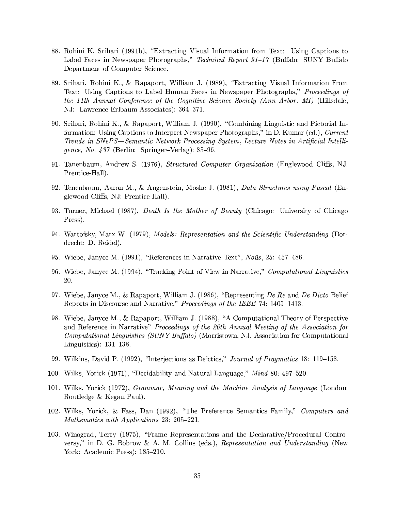- 88. Rohini K. Srihari (1991b), "Extracting Visual Information from Text: Using Captions to Label Faces in Newspaper Photographs," Technical Report 91-17 (Buffalo: SUNY Buffalo Department of Computer Science.
- 89. Srihari, Rohini K., & Rapaport, William J. (1989), "Extracting Visual Information From Text: Using Captions to Label Human Faces in Newspaper Photographs," Proceedings of the 11th Annual Conference of the Cognitive Science Society (Ann Arbor, MI) (Hillsdale, NJ: Lawrence Erlbaum Associates): 364-371.
- 90. Srihari, Rohini K., & Rapaport, William J. (1990), "Combining Linguistic and Pictorial Information: Using Captions to Interpret Newspaper Photographs," in D. Kumar (ed.), Current Trends in SNePS-Semantic Network Processing System, Lecture Notes in Artificial Intelligence, No. 437 (Berlin: Springer-Verlag): 85–96.
- 91. Tanenbaum, Andrew S. (1976), *Structured Computer Organization* (Englewood Cliffs, NJ: Prentice-Hall).
- 92. Tenenbaum, Aaron M., & Augenstein, Moshe J. (1981), Data Structures using Pascal (Englewood Cliffs, NJ: Prentice-Hall).
- 93. Turner, Michael (1987), Death Is the Mother of Beauty (Chicago: University of Chicago Press).
- 94. Wartofsky, Marx W. (1979), Models: Representation and the Scientific Understanding (Dordrecht: D. Reidel).
- 95. Wiebe, Janyce M. (1991), "References in Narrative Text", Noûs, 25: 457–486.
- 96. Wiebe, Janyce M. (1994), "Tracking Point of View in Narrative," Computational Linguistics 20.
- 97. Wiebe, Janyce M., & Rapaport, William J. (1986), "Representing De Re and De Dicto Belief Reports in Discourse and Narrative," Proceedings of the IEEE 74: 1405-1413.
- 98. Wiebe, Janyce M., & Rapaport, William J. (1988), "A Computational Theory of Perspective and Reference in Narrative" Proceedings of the 26th Annual Meeting of the Association for *Computational Linguistics (SUNY Buffalo)* (Morristown, NJ. Association for Computational Linguistics):  $131-138$ .
- 99. Wilkins, David P. (1992), "Interjections as Deictics," Journal of Pragmatics 18: 119–158.
- 100. Wilks, Yorick (1971), "Decidability and Natural Language," Mind 80: 497-520.
- 101. Wilks, Yorick (1972), Grammar, Meaning and the Machine Analysis of Language (London: Routledge & Kegan Paul).
- 102. Wilks, Yorick, & Fass, Dan (1992), "The Preference Semantics Family," Computers and Mathematics with Applications 23: 205-221.
- 103. Winograd, Terry (1975), "Frame Representations and the Declarative/Procedural Controversy," in D. G. Bobrow & A. M. Collins (eds.), Representation and Understanding (New York: Academic Press): 185–210.